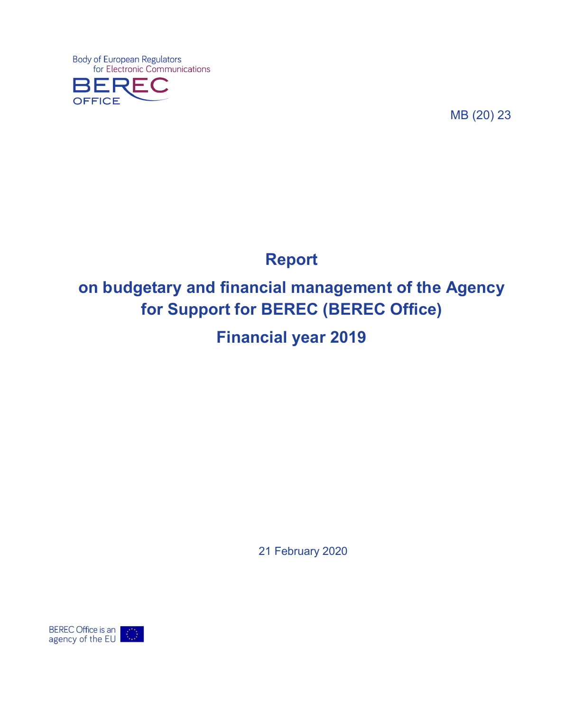Body of European Regulators<br>for Electronic Communications **OFFICE** 

MB (20) 23

# **Report**

# **on budgetary and financial management of the Agency for Support for BEREC (BEREC Office)**

**Financial year 2019**

21 February 2020

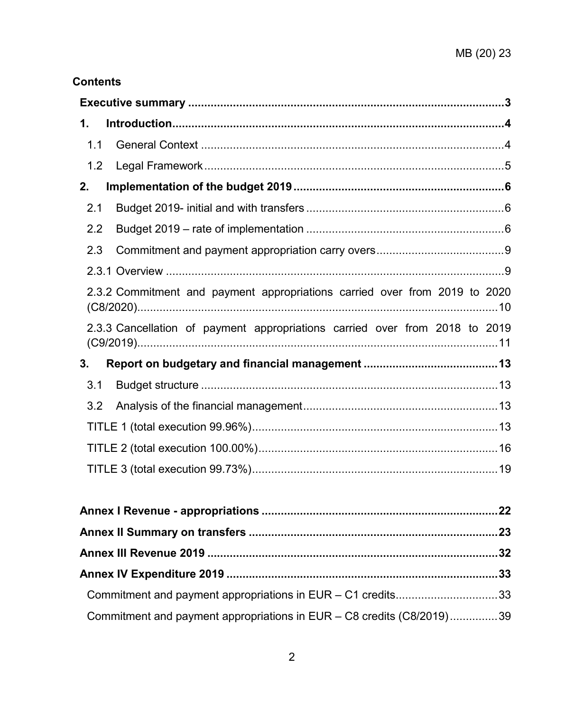## **Contents**

| 1.  |                                                                             |
|-----|-----------------------------------------------------------------------------|
| 1.1 |                                                                             |
| 1.2 |                                                                             |
| 2.  |                                                                             |
| 2.1 |                                                                             |
| 2.2 |                                                                             |
| 2.3 |                                                                             |
|     |                                                                             |
|     | 2.3.2 Commitment and payment appropriations carried over from 2019 to 2020  |
|     | 2.3.3 Cancellation of payment appropriations carried over from 2018 to 2019 |
| 3.  |                                                                             |
| 3.1 |                                                                             |
| 3.2 |                                                                             |
|     |                                                                             |
|     |                                                                             |
|     |                                                                             |
|     |                                                                             |
|     |                                                                             |
|     |                                                                             |
|     |                                                                             |
|     |                                                                             |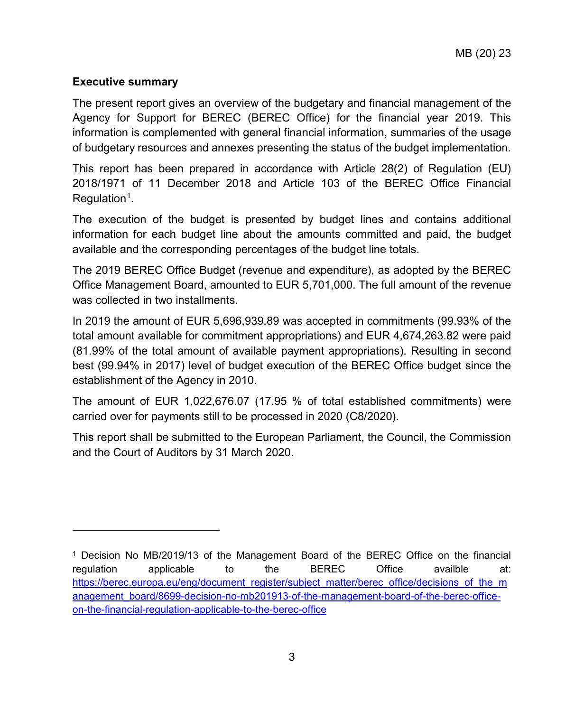## <span id="page-2-0"></span>**Executive summary**

 $\overline{a}$ 

The present report gives an overview of the budgetary and financial management of the Agency for Support for BEREC (BEREC Office) for the financial year 2019. This information is complemented with general financial information, summaries of the usage of budgetary resources and annexes presenting the status of the budget implementation.

This report has been prepared in accordance with Article 28(2) of Regulation (EU) 2018/1971 of 11 December 2018 and Article 103 of the BEREC Office Financial Regulation<sup>[1](#page-2-1)</sup>.

The execution of the budget is presented by budget lines and contains additional information for each budget line about the amounts committed and paid, the budget available and the corresponding percentages of the budget line totals.

The 2019 BEREC Office Budget (revenue and expenditure), as adopted by the BEREC Office Management Board, amounted to EUR 5,701,000. The full amount of the revenue was collected in two installments.

In 2019 the amount of EUR 5,696,939.89 was accepted in commitments (99.93% of the total amount available for commitment appropriations) and EUR 4,674,263.82 were paid (81.99% of the total amount of available payment appropriations). Resulting in second best (99.94% in 2017) level of budget execution of the BEREC Office budget since the establishment of the Agency in 2010.

The amount of EUR 1,022,676.07 (17.95 % of total established commitments) were carried over for payments still to be processed in 2020 (C8/2020).

This report shall be submitted to the European Parliament, the Council, the Commission and the Court of Auditors by 31 March 2020.

<span id="page-2-1"></span><sup>1</sup> Decision No MB/2019/13 of the Management Board of the BEREC Office on the financial regulation applicable to the BEREC Office availble at: [https://berec.europa.eu/eng/document\\_register/subject\\_matter/berec\\_office/decisions\\_of\\_the\\_m](https://berec.europa.eu/eng/document_register/subject_matter/berec_office/decisions_of_the_management_board/8699-decision-no-mb201913-of-the-management-board-of-the-berec-office-on-the-financial-regulation-applicable-to-the-berec-office) [anagement\\_board/8699-decision-no-mb201913-of-the-management-board-of-the-berec-office](https://berec.europa.eu/eng/document_register/subject_matter/berec_office/decisions_of_the_management_board/8699-decision-no-mb201913-of-the-management-board-of-the-berec-office-on-the-financial-regulation-applicable-to-the-berec-office)[on-the-financial-regulation-applicable-to-the-berec-office](https://berec.europa.eu/eng/document_register/subject_matter/berec_office/decisions_of_the_management_board/8699-decision-no-mb201913-of-the-management-board-of-the-berec-office-on-the-financial-regulation-applicable-to-the-berec-office)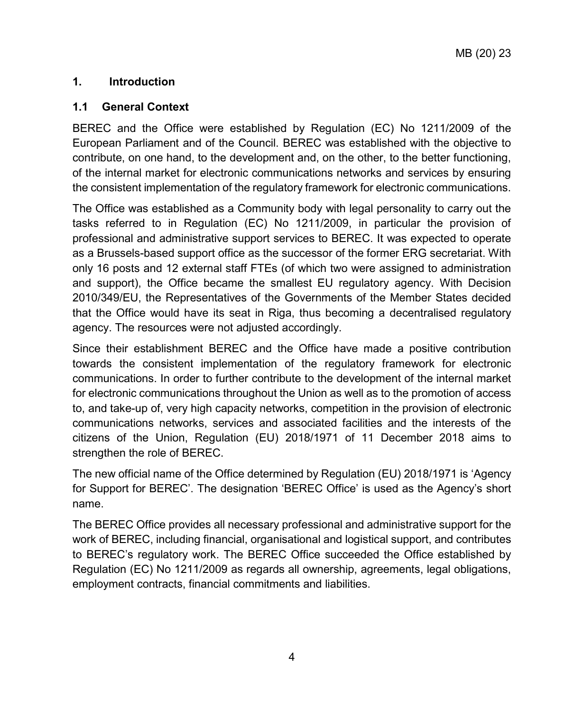## <span id="page-3-0"></span>**1. Introduction**

## <span id="page-3-1"></span>**1.1 General Context**

BEREC and the Office were established by Regulation (EC) No 1211/2009 of the European Parliament and of the Council. BEREC was established with the objective to contribute, on one hand, to the development and, on the other, to the better functioning, of the internal market for electronic communications networks and services by ensuring the consistent implementation of the regulatory framework for electronic communications.

The Office was established as a Community body with legal personality to carry out the tasks referred to in Regulation (EC) No 1211/2009, in particular the provision of professional and administrative support services to BEREC. It was expected to operate as a Brussels-based support office as the successor of the former ERG secretariat. With only 16 posts and 12 external staff FTEs (of which two were assigned to administration and support), the Office became the smallest EU regulatory agency. With Decision 2010/349/EU, the Representatives of the Governments of the Member States decided that the Office would have its seat in Riga, thus becoming a decentralised regulatory agency. The resources were not adjusted accordingly.

Since their establishment BEREC and the Office have made a positive contribution towards the consistent implementation of the regulatory framework for electronic communications. In order to further contribute to the development of the internal market for electronic communications throughout the Union as well as to the promotion of access to, and take-up of, very high capacity networks, competition in the provision of electronic communications networks, services and associated facilities and the interests of the citizens of the Union, Regulation (EU) 2018/1971 of 11 December 2018 aims to strengthen the role of BEREC.

The new official name of the Office determined by Regulation (EU) 2018/1971 is 'Agency for Support for BEREC'. The designation 'BEREC Office' is used as the Agency's short name.

The BEREC Office provides all necessary professional and administrative support for the work of BEREC, including financial, organisational and logistical support, and contributes to BEREC's regulatory work. The BEREC Office succeeded the Office established by Regulation (EC) No 1211/2009 as regards all ownership, agreements, legal obligations, employment contracts, financial commitments and liabilities.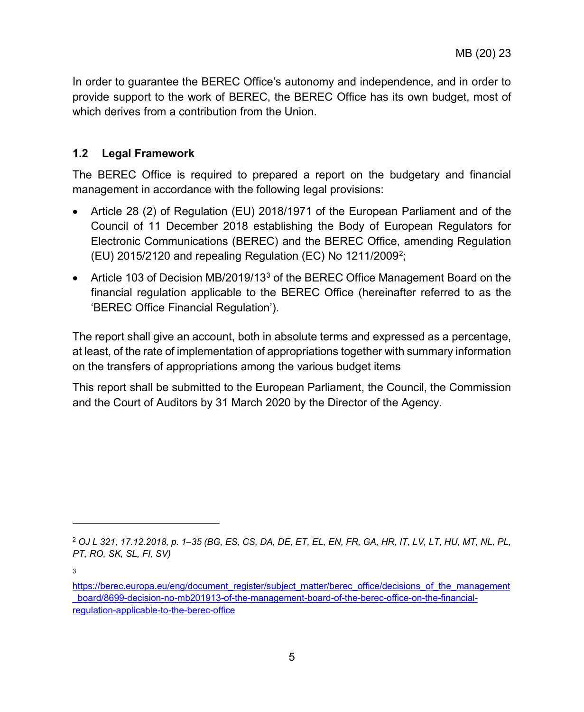In order to guarantee the BEREC Office's autonomy and independence, and in order to provide support to the work of BEREC, the BEREC Office has its own budget, most of which derives from a contribution from the Union.

### <span id="page-4-0"></span>**1.2 Legal Framework**

The BEREC Office is required to prepared a report on the budgetary and financial management in accordance with the following legal provisions:

- Article 28 (2) of Regulation (EU) 2018/1971 of the European Parliament and of the Council of 11 December 2018 establishing the Body of European Regulators for Electronic Communications (BEREC) and the BEREC Office, amending Regulation (EU) [2](#page-4-1)015/2120 and repealing Regulation (EC) No 1211/2009<sup>2</sup>;
- Article 10[3](#page-4-2) of Decision MB/2019/13<sup>3</sup> of the BEREC Office Management Board on the financial regulation applicable to the BEREC Office (hereinafter referred to as the 'BEREC Office Financial Regulation').

The report shall give an account, both in absolute terms and expressed as a percentage, at least, of the rate of implementation of appropriations together with summary information on the transfers of appropriations among the various budget items

This report shall be submitted to the European Parliament, the Council, the Commission and the Court of Auditors by 31 March 2020 by the Director of the Agency.

 $\overline{a}$ 

<span id="page-4-1"></span><sup>2</sup> *OJ L 321, 17.12.2018, p. 1–35 (BG, ES, CS, DA, DE, ET, EL, EN, FR, GA, HR, IT, LV, LT, HU, MT, NL, PL, PT, RO, SK, SL, FI, SV)*

<sup>3</sup>

<span id="page-4-2"></span>[https://berec.europa.eu/eng/document\\_register/subject\\_matter/berec\\_office/decisions\\_of\\_the\\_management](https://berec.europa.eu/eng/document_register/subject_matter/berec_office/decisions_of_the_management_board/8699-decision-no-mb201913-of-the-management-board-of-the-berec-office-on-the-financial-regulation-applicable-to-the-berec-office) [\\_board/8699-decision-no-mb201913-of-the-management-board-of-the-berec-office-on-the-financial](https://berec.europa.eu/eng/document_register/subject_matter/berec_office/decisions_of_the_management_board/8699-decision-no-mb201913-of-the-management-board-of-the-berec-office-on-the-financial-regulation-applicable-to-the-berec-office)[regulation-applicable-to-the-berec-office](https://berec.europa.eu/eng/document_register/subject_matter/berec_office/decisions_of_the_management_board/8699-decision-no-mb201913-of-the-management-board-of-the-berec-office-on-the-financial-regulation-applicable-to-the-berec-office)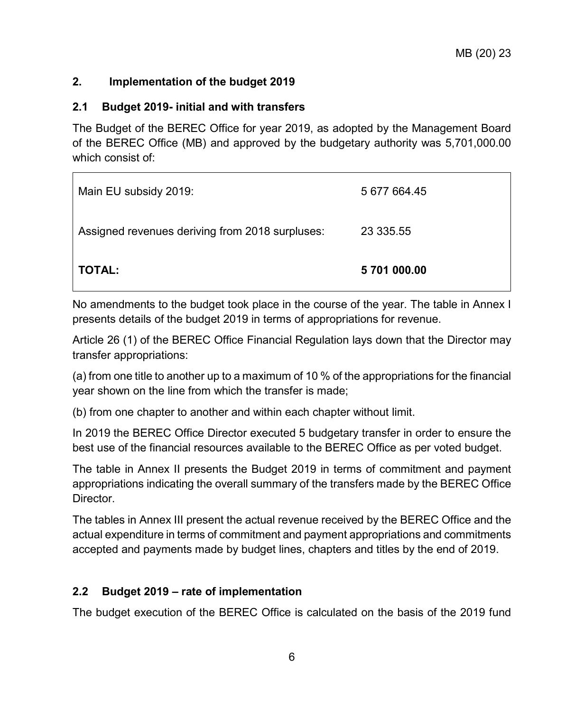## <span id="page-5-0"></span>**2. Implementation of the budget 2019**

 $\blacksquare$ 

### <span id="page-5-1"></span>**2.1 Budget 2019- initial and with transfers**

The Budget of the BEREC Office for year 2019, as adopted by the Management Board of the BEREC Office (MB) and approved by the budgetary authority was 5,701,000.00 which consist of:

| Main EU subsidy 2019:                           | 5 677 664.45 |
|-------------------------------------------------|--------------|
| Assigned revenues deriving from 2018 surpluses: | 23 335.55    |
| <b>TOTAL:</b>                                   | 5 701 000.00 |

No amendments to the budget took place in the course of the year. The table in Annex I presents details of the budget 2019 in terms of appropriations for revenue.

Article 26 (1) of the BEREC Office Financial Regulation lays down that the Director may transfer appropriations:

(a) from one title to another up to a maximum of 10 % of the appropriations for the financial year shown on the line from which the transfer is made;

(b) from one chapter to another and within each chapter without limit.

In 2019 the BEREC Office Director executed 5 budgetary transfer in order to ensure the best use of the financial resources available to the BEREC Office as per voted budget.

The table in Annex II presents the Budget 2019 in terms of commitment and payment appropriations indicating the overall summary of the transfers made by the BEREC Office Director.

The tables in Annex III present the actual revenue received by the BEREC Office and the actual expenditure in terms of commitment and payment appropriations and commitments accepted and payments made by budget lines, chapters and titles by the end of 2019.

## <span id="page-5-2"></span>**2.2 Budget 2019 – rate of implementation**

The budget execution of the BEREC Office is calculated on the basis of the 2019 fund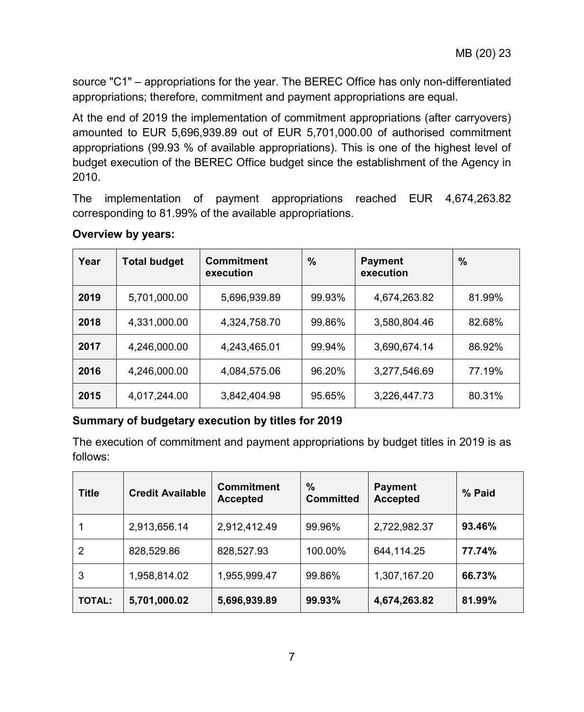source "C1" – appropriations for the year. The BEREC Office has only non-differentiated appropriations; therefore, commitment and payment appropriations are equal.

At the end of 2019 the implementation of commitment appropriations (after carryovers) amounted to EUR 5,696,939.89 out of EUR 5,701,000.00 of authorised commitment appropriations (99.93 % of available appropriations). This is one of the highest level of budget execution of the BEREC Office budget since the establishment of the Agency in 2010.

The implementation of payment appropriations reached EUR 4,674,263.82 corresponding to 81.99% of the available appropriations.

| Year | <b>Total budget</b> | <b>Commitment</b><br>execution | $\%$   | <b>Payment</b><br>execution | $\%$   |
|------|---------------------|--------------------------------|--------|-----------------------------|--------|
| 2019 | 5,701,000.00        | 5,696,939.89                   | 99.93% | 4,674,263.82                | 81.99% |
| 2018 | 4,331,000.00        | 4,324,758.70                   | 99.86% | 3,580,804.46                | 82.68% |
| 2017 | 4,246,000.00        | 4,243,465.01                   | 99.94% | 3,690,674.14                | 86.92% |
| 2016 | 4,246,000.00        | 4,084,575.06                   | 96.20% | 3,277,546.69                | 77.19% |
| 2015 | 4,017,244.00        | 3,842,404.98                   | 95.65% | 3,226,447.73                | 80.31% |

#### **Overview by years:**

## **Summary of budgetary execution by titles for 2019**

The execution of commitment and payment appropriations by budget titles in 2019 is as follows:

| <b>Title</b>  | <b>Credit Available</b> | <b>Commitment</b><br><b>Accepted</b> | %<br><b>Committed</b> | <b>Payment</b><br><b>Accepted</b> | % Paid |
|---------------|-------------------------|--------------------------------------|-----------------------|-----------------------------------|--------|
|               | 2,913,656.14            | 2,912,412.49                         | 99.96%                | 2,722,982.37                      | 93.46% |
| 2             | 828,529.86              | 828,527.93                           | 100.00%               | 644,114.25                        | 77.74% |
| 3             | 1,958,814.02            | 1,955,999.47                         | 99.86%                | 1,307,167.20                      | 66.73% |
| <b>TOTAL:</b> | 5,701,000.02            | 5,696,939.89                         | 99.93%                | 4,674,263.82                      | 81.99% |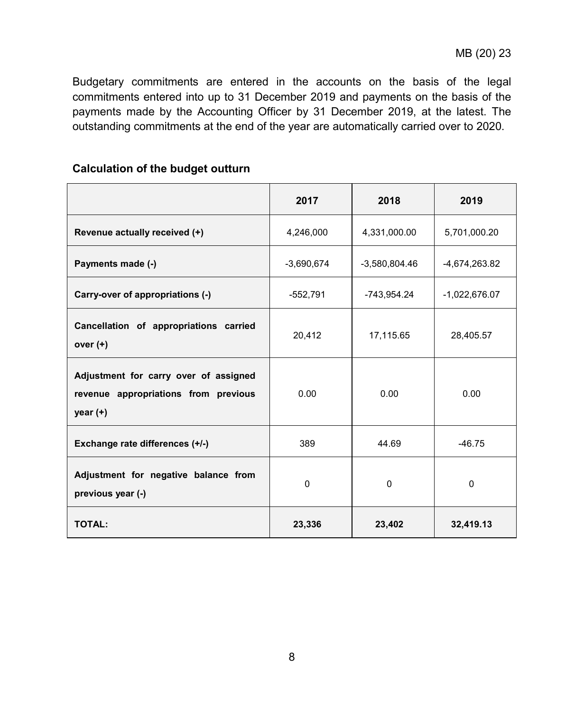Budgetary commitments are entered in the accounts on the basis of the legal commitments entered into up to 31 December 2019 and payments on the basis of the payments made by the Accounting Officer by 31 December 2019, at the latest. The outstanding commitments at the end of the year are automatically carried over to 2020.

## **Calculation of the budget outturn**

|                                                                                             | 2017         | 2018            | 2019            |
|---------------------------------------------------------------------------------------------|--------------|-----------------|-----------------|
| Revenue actually received (+)                                                               | 4,246,000    | 4,331,000.00    | 5,701,000.20    |
| Payments made (-)                                                                           | $-3,690,674$ | $-3,580,804.46$ | -4,674,263.82   |
| Carry-over of appropriations (-)                                                            | $-552,791$   | -743,954.24     | $-1,022,676.07$ |
| Cancellation of appropriations carried<br>over $(+)$                                        | 20,412       | 17,115.65       | 28,405.57       |
| Adjustment for carry over of assigned<br>revenue appropriations from previous<br>year $(+)$ | 0.00         | 0.00            | 0.00            |
| Exchange rate differences (+/-)                                                             | 389          | 44.69           | $-46.75$        |
| Adjustment for negative balance from<br>previous year (-)                                   | $\Omega$     | $\Omega$        | $\mathbf{0}$    |
| <b>TOTAL:</b>                                                                               | 23,336       | 23,402          | 32,419.13       |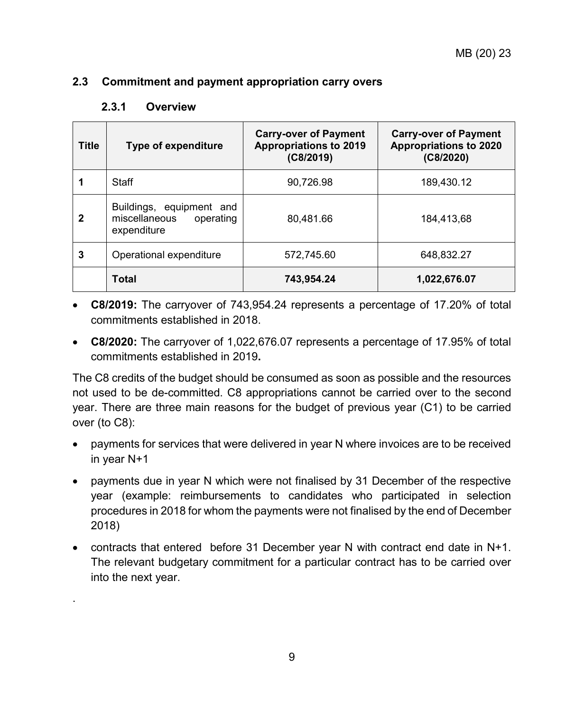### <span id="page-8-1"></span><span id="page-8-0"></span>**2.3 Commitment and payment appropriation carry overs**

.

| <b>Title</b> | <b>Type of expenditure</b>                                            | <b>Carry-over of Payment</b><br><b>Appropriations to 2019</b><br>(C8/2019) | <b>Carry-over of Payment</b><br><b>Appropriations to 2020</b><br>(C8/2020) |
|--------------|-----------------------------------------------------------------------|----------------------------------------------------------------------------|----------------------------------------------------------------------------|
|              | Staff                                                                 | 90,726.98                                                                  | 189,430.12                                                                 |
| $\mathbf 2$  | Buildings, equipment and<br>miscellaneous<br>operating<br>expenditure | 80,481.66                                                                  | 184,413,68                                                                 |
| 3            | Operational expenditure                                               | 572.745.60                                                                 | 648,832.27                                                                 |
|              | <b>Total</b>                                                          | 743,954.24                                                                 | 1,022,676.07                                                               |

• **C8/2019:** The carryover of 743,954.24 represents a percentage of 17.20% of total commitments established in 2018.

• **C8/2020:** The carryover of 1,022,676.07 represents a percentage of 17.95% of total commitments established in 2019**.**

The C8 credits of the budget should be consumed as soon as possible and the resources not used to be de-committed. C8 appropriations cannot be carried over to the second year. There are three main reasons for the budget of previous year (C1) to be carried over (to C8):

- payments for services that were delivered in year N where invoices are to be received in year N+1
- payments due in year N which were not finalised by 31 December of the respective year (example: reimbursements to candidates who participated in selection procedures in 2018 for whom the payments were not finalised by the end of December 2018)
- contracts that entered before 31 December year N with contract end date in N+1. The relevant budgetary commitment for a particular contract has to be carried over into the next year.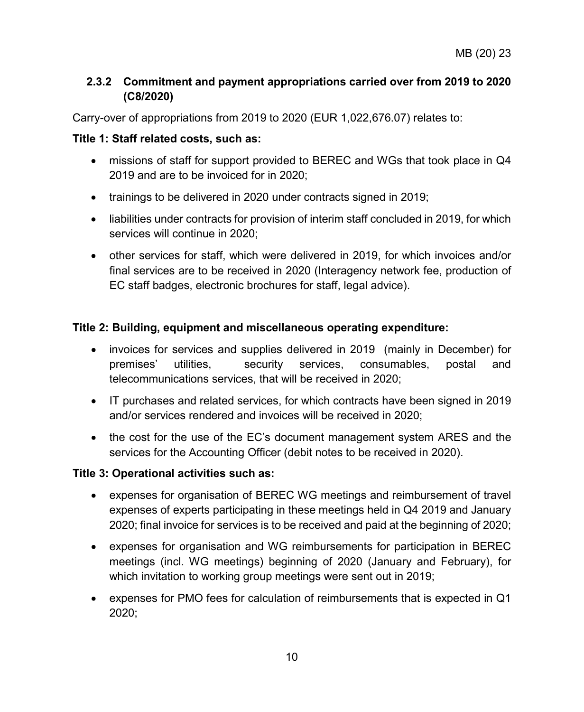## <span id="page-9-0"></span>**2.3.2 Commitment and payment appropriations carried over from 2019 to 2020 (C8/2020)**

Carry-over of appropriations from 2019 to 2020 (EUR 1,022,676.07) relates to:

## **Title 1: Staff related costs, such as:**

- missions of staff for support provided to BEREC and WGs that took place in Q4 2019 and are to be invoiced for in 2020;
- trainings to be delivered in 2020 under contracts signed in 2019;
- liabilities under contracts for provision of interim staff concluded in 2019, for which services will continue in 2020;
- other services for staff, which were delivered in 2019, for which invoices and/or final services are to be received in 2020 (Interagency network fee, production of EC staff badges, electronic brochures for staff, legal advice).

## **Title 2: Building, equipment and miscellaneous operating expenditure:**

- invoices for services and supplies delivered in 2019 (mainly in December) for premises' utilities, security services, consumables, postal and telecommunications services, that will be received in 2020;
- IT purchases and related services, for which contracts have been signed in 2019 and/or services rendered and invoices will be received in 2020;
- the cost for the use of the EC's document management system ARES and the services for the Accounting Officer (debit notes to be received in 2020).

## **Title 3: Operational activities such as:**

- expenses for organisation of BEREC WG meetings and reimbursement of travel expenses of experts participating in these meetings held in Q4 2019 and January 2020; final invoice for services is to be received and paid at the beginning of 2020;
- expenses for organisation and WG reimbursements for participation in BEREC meetings (incl. WG meetings) beginning of 2020 (January and February), for which invitation to working group meetings were sent out in 2019;
- expenses for PMO fees for calculation of reimbursements that is expected in Q1 2020;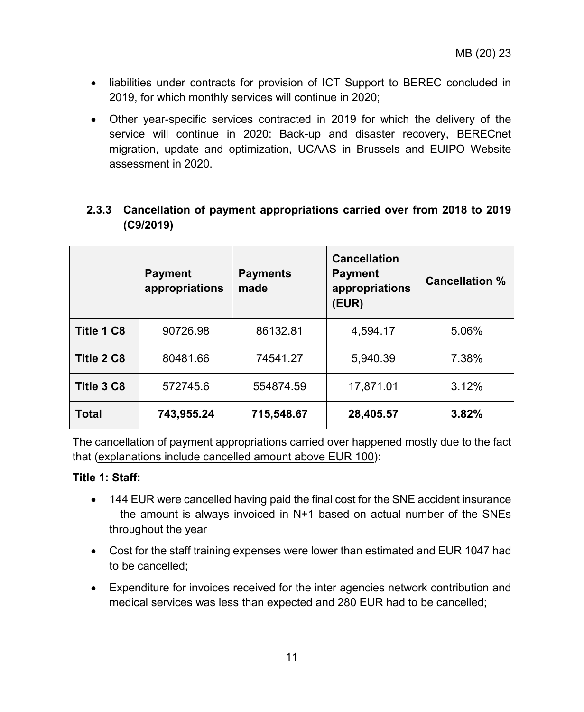- liabilities under contracts for provision of ICT Support to BEREC concluded in 2019, for which monthly services will continue in 2020;
- Other year-specific services contracted in 2019 for which the delivery of the service will continue in 2020: Back-up and disaster recovery, BERECnet migration, update and optimization, UCAAS in Brussels and EUIPO Website assessment in 2020.

<span id="page-10-0"></span>

| 2.3.3 Cancellation of payment appropriations carried over from 2018 to 2019 |  |  |
|-----------------------------------------------------------------------------|--|--|
| (C9/2019)                                                                   |  |  |

|              | <b>Payment</b><br>appropriations | <b>Payments</b><br>made | <b>Cancellation</b><br><b>Payment</b><br>appropriations<br>(EUR) | <b>Cancellation %</b> |
|--------------|----------------------------------|-------------------------|------------------------------------------------------------------|-----------------------|
| Title 1 C8   | 90726.98                         | 86132.81                | 4,594.17                                                         | 5.06%                 |
| Title 2 C8   | 80481.66                         | 74541.27                | 5,940.39                                                         | 7.38%                 |
| Title 3 C8   | 572745.6                         | 554874.59               | 17,871.01                                                        | 3.12%                 |
| <b>Total</b> | 743,955.24                       | 715,548.67              | 28,405.57                                                        | 3.82%                 |

The cancellation of payment appropriations carried over happened mostly due to the fact that (explanations include cancelled amount above EUR 100):

#### **Title 1: Staff:**

- 144 EUR were cancelled having paid the final cost for the SNE accident insurance  $-$  the amount is always invoiced in N+1 based on actual number of the SNEs throughout the year
- Cost for the staff training expenses were lower than estimated and EUR 1047 had to be cancelled;
- Expenditure for invoices received for the inter agencies network contribution and medical services was less than expected and 280 EUR had to be cancelled;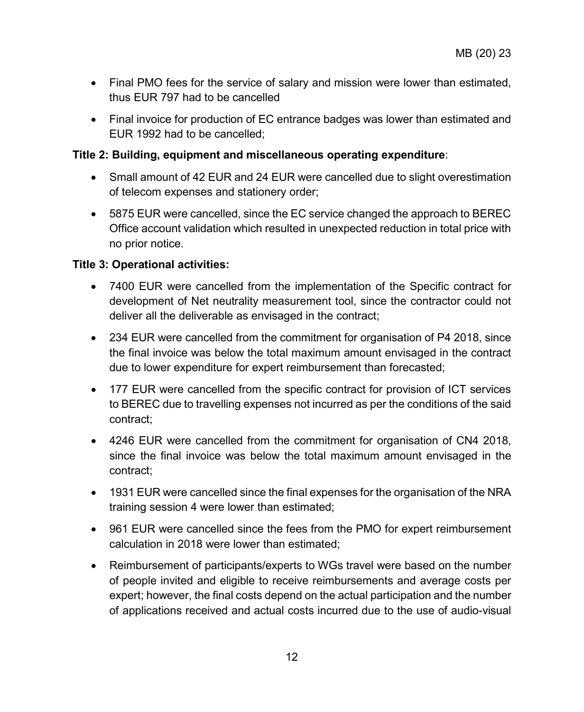- Final PMO fees for the service of salary and mission were lower than estimated, thus EUR 797 had to be cancelled
- Final invoice for production of EC entrance badges was lower than estimated and EUR 1992 had to be cancelled;

### **Title 2: Building, equipment and miscellaneous operating expenditure**:

- Small amount of 42 EUR and 24 EUR were cancelled due to slight overestimation of telecom expenses and stationery order;
- 5875 EUR were cancelled, since the EC service changed the approach to BEREC Office account validation which resulted in unexpected reduction in total price with no prior notice.

## **Title 3: Operational activities:**

- 7400 EUR were cancelled from the implementation of the Specific contract for development of Net neutrality measurement tool, since the contractor could not deliver all the deliverable as envisaged in the contract;
- 234 EUR were cancelled from the commitment for organisation of P4 2018, since the final invoice was below the total maximum amount envisaged in the contract due to lower expenditure for expert reimbursement than forecasted;
- 177 EUR were cancelled from the specific contract for provision of ICT services to BEREC due to travelling expenses not incurred as per the conditions of the said contract;
- 4246 EUR were cancelled from the commitment for organisation of CN4 2018, since the final invoice was below the total maximum amount envisaged in the contract;
- 1931 EUR were cancelled since the final expenses for the organisation of the NRA training session 4 were lower than estimated;
- 961 EUR were cancelled since the fees from the PMO for expert reimbursement calculation in 2018 were lower than estimated;
- Reimbursement of participants/experts to WGs travel were based on the number of people invited and eligible to receive reimbursements and average costs per expert; however, the final costs depend on the actual participation and the number of applications received and actual costs incurred due to the use of audio-visual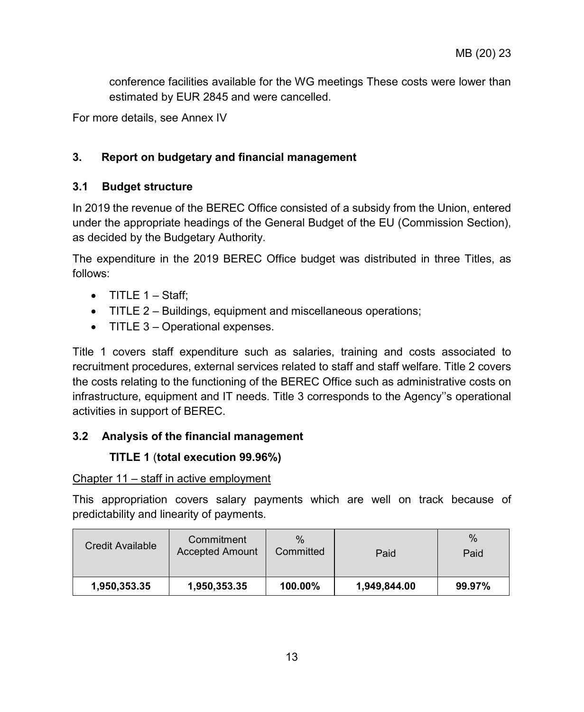conference facilities available for the WG meetings These costs were lower than estimated by EUR 2845 and were cancelled.

For more details, see Annex IV

## <span id="page-12-0"></span>**3. Report on budgetary and financial management**

## <span id="page-12-1"></span>**3.1 Budget structure**

In 2019 the revenue of the BEREC Office consisted of a subsidy from the Union, entered under the appropriate headings of the General Budget of the EU (Commission Section), as decided by the Budgetary Authority.

The expenditure in the 2019 BEREC Office budget was distributed in three Titles, as follows:

- $\bullet$  TITLE 1 Staff:
- TITLE 2 Buildings, equipment and miscellaneous operations;
- TITLE 3 Operational expenses.

Title 1 covers staff expenditure such as salaries, training and costs associated to recruitment procedures, external services related to staff and staff welfare. Title 2 covers the costs relating to the functioning of the BEREC Office such as administrative costs on infrastructure, equipment and IT needs. Title 3 corresponds to the Agency''s operational activities in support of BEREC.

## <span id="page-12-3"></span><span id="page-12-2"></span>**3.2 Analysis of the financial management**

## **TITLE 1** (**total execution 99.96%)**

#### Chapter 11 – staff in active employment

This appropriation covers salary payments which are well on track because of predictability and linearity of payments.

| Credit Available | Commitment<br><b>Accepted Amount</b> | $\%$<br>Committed | Paid         | $\%$<br>Paid |
|------------------|--------------------------------------|-------------------|--------------|--------------|
| 1,950,353.35     | 1,950,353.35                         | 100.00%           | 1,949,844.00 | 99.97%       |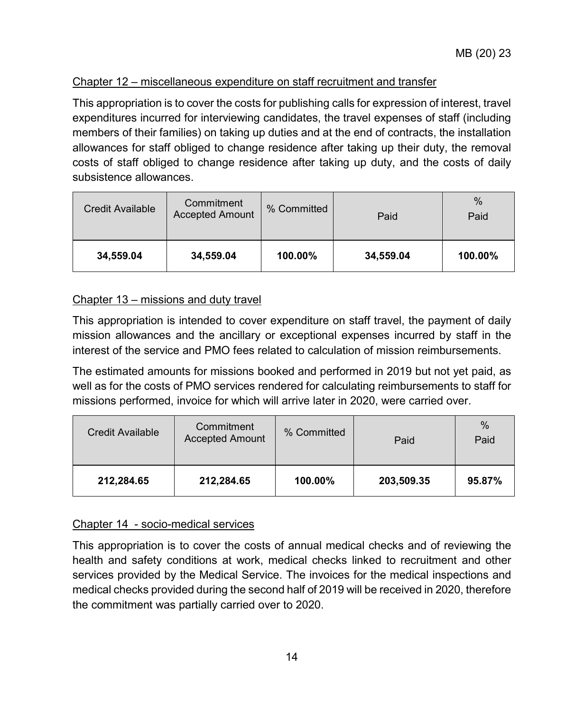## Chapter 12 – miscellaneous expenditure on staff recruitment and transfer

This appropriation is to cover the costs for publishing calls for expression of interest, travel expenditures incurred for interviewing candidates, the travel expenses of staff (including members of their families) on taking up duties and at the end of contracts, the installation allowances for staff obliged to change residence after taking up their duty, the removal costs of staff obliged to change residence after taking up duty, and the costs of daily subsistence allowances.

| Credit Available | Commitment<br><b>Accepted Amount</b> | % Committed | Paid      | $\frac{0}{0}$<br>Paid |
|------------------|--------------------------------------|-------------|-----------|-----------------------|
| 34,559.04        | 34,559.04                            | 100.00%     | 34,559.04 | 100.00%               |

## Chapter 13 – missions and duty travel

This appropriation is intended to cover expenditure on staff travel, the payment of daily mission allowances and the ancillary or exceptional expenses incurred by staff in the interest of the service and PMO fees related to calculation of mission reimbursements.

The estimated amounts for missions booked and performed in 2019 but not yet paid, as well as for the costs of PMO services rendered for calculating reimbursements to staff for missions performed, invoice for which will arrive later in 2020, were carried over.

| Credit Available | Commitment<br><b>Accepted Amount</b> | % Committed | Paid       | $\%$<br>Paid |
|------------------|--------------------------------------|-------------|------------|--------------|
| 212,284.65       | 212,284.65                           | 100.00%     | 203,509.35 | 95.87%       |

## Chapter 14 - socio-medical services

This appropriation is to cover the costs of annual medical checks and of reviewing the health and safety conditions at work, medical checks linked to recruitment and other services provided by the Medical Service. The invoices for the medical inspections and medical checks provided during the second half of 2019 will be received in 2020, therefore the commitment was partially carried over to 2020.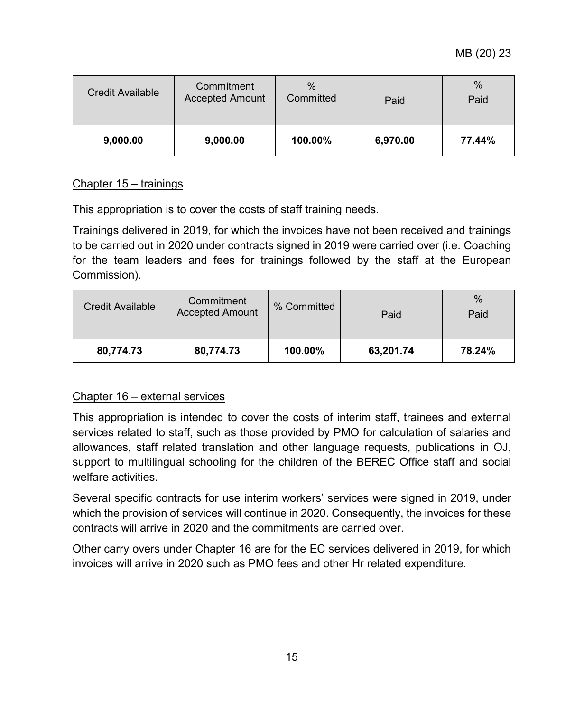MB (20) 23

| Credit Available | Commitment<br><b>Accepted Amount</b> | $\%$<br>Committed | Paid     | %<br>Paid |
|------------------|--------------------------------------|-------------------|----------|-----------|
| 9,000.00         | 9,000.00                             | 100.00%           | 6,970.00 | 77.44%    |

## Chapter 15 – trainings

This appropriation is to cover the costs of staff training needs.

Trainings delivered in 2019, for which the invoices have not been received and trainings to be carried out in 2020 under contracts signed in 2019 were carried over (i.e. Coaching for the team leaders and fees for trainings followed by the staff at the European Commission).

| Credit Available | Commitment<br><b>Accepted Amount</b> | % Committed | Paid      | %<br>Paid |
|------------------|--------------------------------------|-------------|-----------|-----------|
| 80,774.73        | 80.774.73                            | 100.00%     | 63,201.74 | 78.24%    |

## Chapter 16 – external services

This appropriation is intended to cover the costs of interim staff, trainees and external services related to staff, such as those provided by PMO for calculation of salaries and allowances, staff related translation and other language requests, publications in OJ, support to multilingual schooling for the children of the BEREC Office staff and social welfare activities.

Several specific contracts for use interim workers' services were signed in 2019, under which the provision of services will continue in 2020. Consequently, the invoices for these contracts will arrive in 2020 and the commitments are carried over.

Other carry overs under Chapter 16 are for the EC services delivered in 2019, for which invoices will arrive in 2020 such as PMO fees and other Hr related expenditure.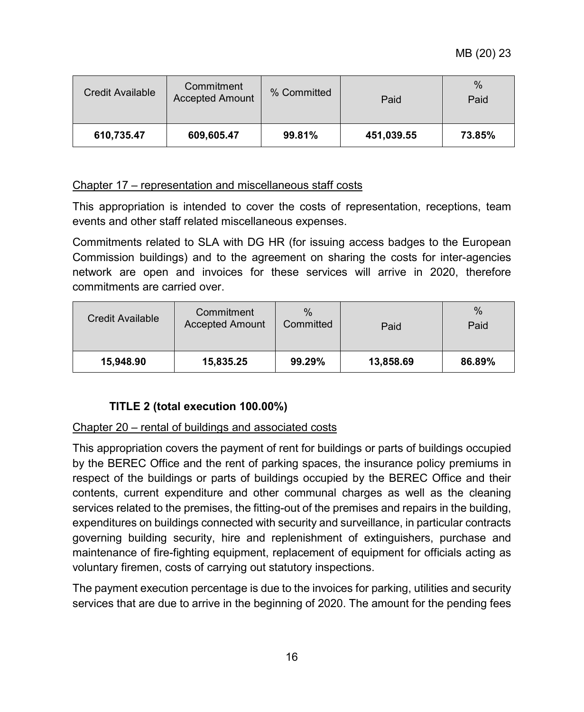MB (20) 23

| Credit Available | Commitment<br><b>Accepted Amount</b> | % Committed | Paid       | %<br>Paid |
|------------------|--------------------------------------|-------------|------------|-----------|
| 610,735.47       | 609,605.47                           | 99.81%      | 451,039.55 | 73.85%    |

## Chapter 17 – representation and miscellaneous staff costs

This appropriation is intended to cover the costs of representation, receptions, team events and other staff related miscellaneous expenses.

Commitments related to SLA with DG HR (for issuing access badges to the European Commission buildings) and to the agreement on sharing the costs for inter-agencies network are open and invoices for these services will arrive in 2020, therefore commitments are carried over.

| Credit Available | Commitment<br><b>Accepted Amount</b> | $\%$<br>Committed | Paid      | %<br>Paid |
|------------------|--------------------------------------|-------------------|-----------|-----------|
| 15.948.90        | 15,835.25                            | 99.29%            | 13,858.69 | 86.89%    |

## <span id="page-15-0"></span>**TITLE 2 (total execution 100.00%)**

#### Chapter 20 – rental of buildings and associated costs

This appropriation covers the payment of rent for buildings or parts of buildings occupied by the BEREC Office and the rent of parking spaces, the insurance policy premiums in respect of the buildings or parts of buildings occupied by the BEREC Office and their contents, current expenditure and other communal charges as well as the cleaning services related to the premises, the fitting-out of the premises and repairs in the building, expenditures on buildings connected with security and surveillance, in particular contracts governing building security, hire and replenishment of extinguishers, purchase and maintenance of fire-fighting equipment, replacement of equipment for officials acting as voluntary firemen, costs of carrying out statutory inspections.

The payment execution percentage is due to the invoices for parking, utilities and security services that are due to arrive in the beginning of 2020. The amount for the pending fees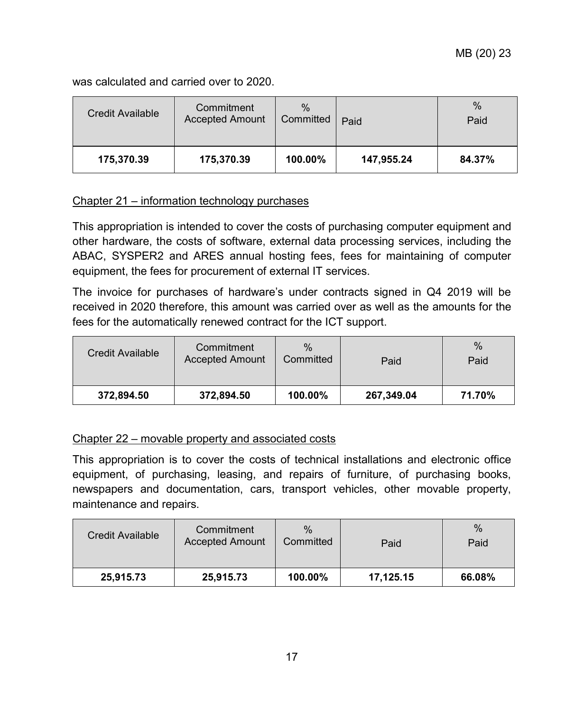was calculated and carried over to 2020.

| Credit Available | Commitment<br><b>Accepted Amount</b> | $\%$<br>Committed | Paid       | %<br>Paid |
|------------------|--------------------------------------|-------------------|------------|-----------|
| 175,370.39       | 175,370.39                           | 100.00%           | 147,955.24 | 84.37%    |

#### Chapter 21 – information technology purchases

This appropriation is intended to cover the costs of purchasing computer equipment and other hardware, the costs of software, external data processing services, including the ABAC, SYSPER2 and ARES annual hosting fees, fees for maintaining of computer equipment, the fees for procurement of external IT services.

The invoice for purchases of hardware's under contracts signed in Q4 2019 will be received in 2020 therefore, this amount was carried over as well as the amounts for the fees for the automatically renewed contract for the ICT support.

| Credit Available | Commitment<br><b>Accepted Amount</b> | $\%$<br>Committed | Paid       | $\%$<br>Paid |
|------------------|--------------------------------------|-------------------|------------|--------------|
| 372,894.50       | 372,894.50                           | 100.00%           | 267,349.04 | 71.70%       |

#### Chapter 22 – movable property and associated costs

This appropriation is to cover the costs of technical installations and electronic office equipment, of purchasing, leasing, and repairs of furniture, of purchasing books, newspapers and documentation, cars, transport vehicles, other movable property, maintenance and repairs.

| Credit Available | Commitment<br><b>Accepted Amount</b> | $\%$<br>Committed | Paid      | $\%$<br>Paid |
|------------------|--------------------------------------|-------------------|-----------|--------------|
| 25,915.73        | 25,915.73                            | 100.00%           | 17,125.15 | 66.08%       |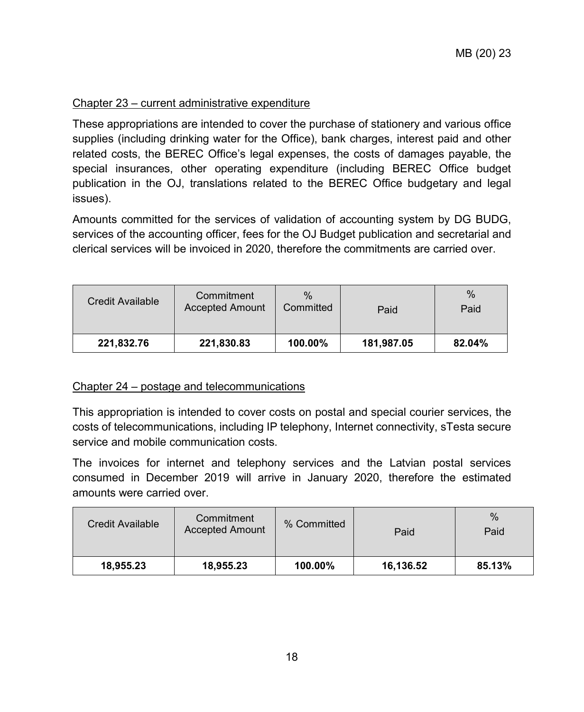## Chapter 23 – current administrative expenditure

These appropriations are intended to cover the purchase of stationery and various office supplies (including drinking water for the Office), bank charges, interest paid and other related costs, the BEREC Office's legal expenses, the costs of damages payable, the special insurances, other operating expenditure (including BEREC Office budget publication in the OJ, translations related to the BEREC Office budgetary and legal issues).

Amounts committed for the services of validation of accounting system by DG BUDG, services of the accounting officer, fees for the OJ Budget publication and secretarial and clerical services will be invoiced in 2020, therefore the commitments are carried over.

| Credit Available | Commitment<br><b>Accepted Amount</b> | $\%$<br>Committed | Paid       | $\%$<br>Paid |
|------------------|--------------------------------------|-------------------|------------|--------------|
| 221,832.76       | 221,830.83                           | 100.00%           | 181,987.05 | 82.04%       |

#### Chapter 24 – postage and telecommunications

This appropriation is intended to cover costs on postal and special courier services, the costs of telecommunications, including IP telephony, Internet connectivity, sTesta secure service and mobile communication costs.

The invoices for internet and telephony services and the Latvian postal services consumed in December 2019 will arrive in January 2020, therefore the estimated amounts were carried over.

| Credit Available | Commitment<br><b>Accepted Amount</b> | % Committed | Paid      | $\%$<br>Paid |
|------------------|--------------------------------------|-------------|-----------|--------------|
| 18.955.23        | 18,955.23                            | 100.00%     | 16,136.52 | 85.13%       |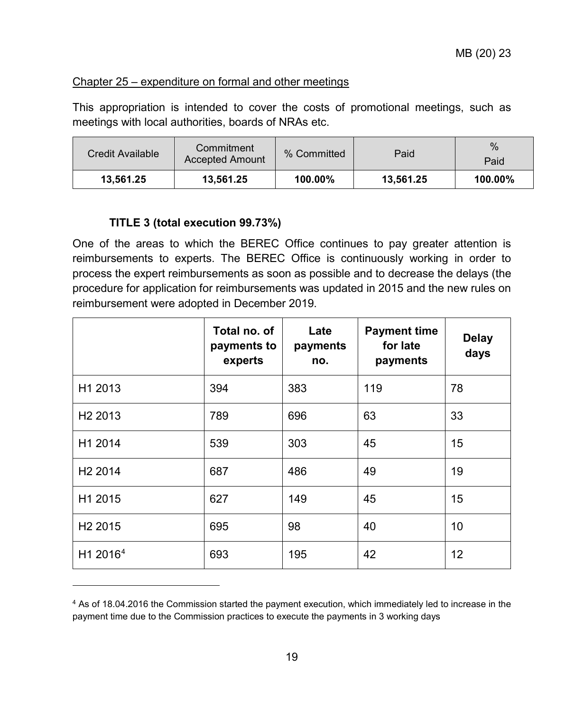## Chapter 25 – expenditure on formal and other meetings

This appropriation is intended to cover the costs of promotional meetings, such as meetings with local authorities, boards of NRAs etc.

| Credit Available | Commitment<br><b>Accepted Amount</b> | % Committed | Paid      | $\%$<br>Paid |
|------------------|--------------------------------------|-------------|-----------|--------------|
| 13.561.25        | 13.561.25                            | 100.00%     | 13.561.25 | 100.00%      |

## <span id="page-18-0"></span>**TITLE 3 (total execution 99.73%)**

 $\overline{a}$ 

One of the areas to which the BEREC Office continues to pay greater attention is reimbursements to experts. The BEREC Office is continuously working in order to process the expert reimbursements as soon as possible and to decrease the delays (the procedure for application for reimbursements was updated in 2015 and the new rules on reimbursement were adopted in December 2019.

|                      | Total no. of<br>payments to<br>experts | Late<br>payments<br>no. | <b>Payment time</b><br>for late<br>payments | <b>Delay</b><br>days |
|----------------------|----------------------------------------|-------------------------|---------------------------------------------|----------------------|
| H1 2013              | 394                                    | 383                     | 119                                         | 78                   |
| H <sub>2</sub> 2013  | 789                                    | 696                     | 63                                          | 33                   |
| H1 2014              | 539                                    | 303                     | 45                                          | 15                   |
| H <sub>2</sub> 2014  | 687                                    | 486                     | 49                                          | 19                   |
| H1 2015              | 627                                    | 149                     | 45                                          | 15                   |
| H <sub>2</sub> 2015  | 695                                    | 98                      | 40                                          | 10                   |
| H1 2016 <sup>4</sup> | 693                                    | 195                     | 42                                          | 12                   |

<span id="page-18-1"></span><sup>4</sup> As of 18.04.2016 the Commission started the payment execution, which immediately led to increase in the payment time due to the Commission practices to execute the payments in 3 working days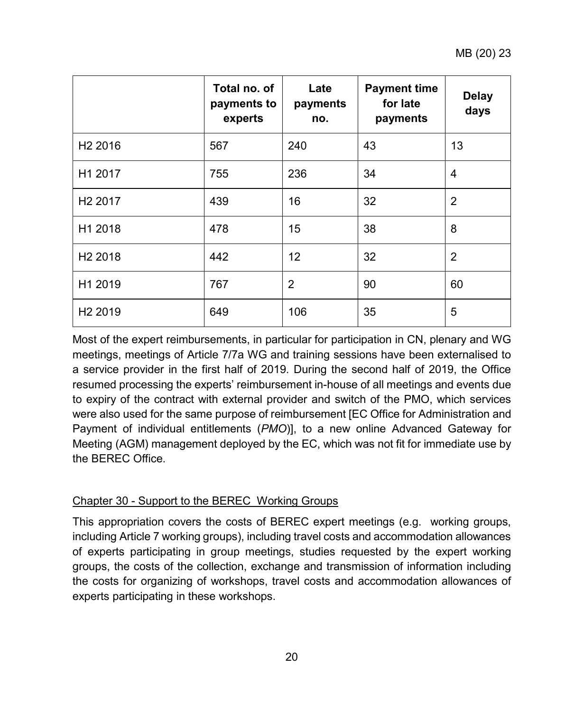|                     | Total no. of<br>payments to<br>experts | Late<br>payments<br>no. | <b>Payment time</b><br>for late<br>payments | <b>Delay</b><br>days |
|---------------------|----------------------------------------|-------------------------|---------------------------------------------|----------------------|
| H <sub>2</sub> 2016 | 567                                    | 240                     | 43                                          | 13                   |
| H1 2017             | 755                                    | 236                     | 34                                          | 4                    |
| H <sub>2</sub> 2017 | 439                                    | 16                      | 32                                          | $\overline{2}$       |
| H1 2018             | 478                                    | 15                      | 38                                          | 8                    |
| H <sub>2</sub> 2018 | 442                                    | 12                      | 32                                          | $\overline{2}$       |
| H1 2019             | 767                                    | $\overline{2}$          | 90                                          | 60                   |
| H <sub>2</sub> 2019 | 649                                    | 106                     | 35                                          | 5                    |

Most of the expert reimbursements, in particular for participation in CN, plenary and WG meetings, meetings of Article 7/7a WG and training sessions have been externalised to a service provider in the first half of 2019. During the second half of 2019, the Office resumed processing the experts' reimbursement in-house of all meetings and events due to expiry of the contract with external provider and switch of the PMO, which services were also used for the same purpose of reimbursement [EC Office for Administration and Payment of individual entitlements (*PMO*)], to a new online Advanced Gateway for Meeting (AGM) management deployed by the EC, which was not fit for immediate use by the BEREC Office.

## Chapter 30 - Support to the BEREC Working Groups

This appropriation covers the costs of BEREC expert meetings (e.g. working groups, including Article 7 working groups), including travel costs and accommodation allowances of experts participating in group meetings, studies requested by the expert working groups, the costs of the collection, exchange and transmission of information including the costs for organizing of workshops, travel costs and accommodation allowances of experts participating in these workshops.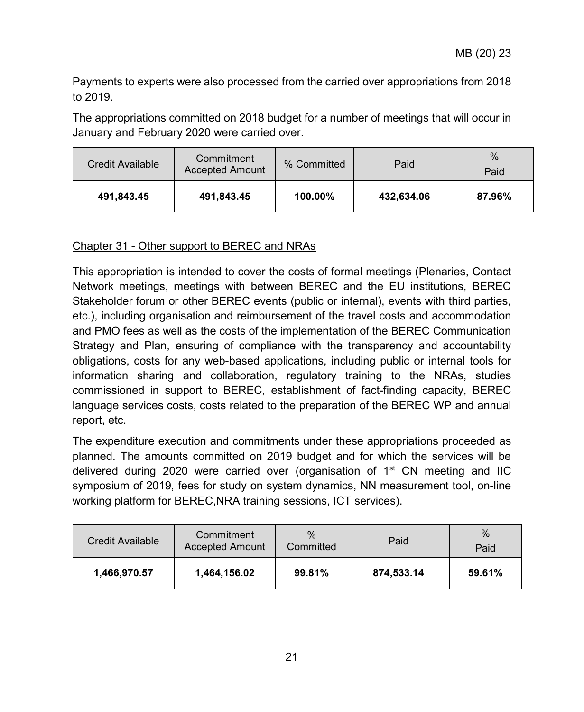Payments to experts were also processed from the carried over appropriations from 2018 to 2019.

The appropriations committed on 2018 budget for a number of meetings that will occur in January and February 2020 were carried over.

| Credit Available | Commitment<br><b>Accepted Amount</b> | % Committed | Paid       | $\%$<br>Paid |
|------------------|--------------------------------------|-------------|------------|--------------|
| 491,843.45       | 491,843.45                           | 100.00%     | 432,634.06 | 87.96%       |

## Chapter 31 - Other support to BEREC and NRAs

This appropriation is intended to cover the costs of formal meetings (Plenaries, Contact Network meetings, meetings with between BEREC and the EU institutions, BEREC Stakeholder forum or other BEREC events (public or internal), events with third parties, etc.), including organisation and reimbursement of the travel costs and accommodation and PMO fees as well as the costs of the implementation of the BEREC Communication Strategy and Plan, ensuring of compliance with the transparency and accountability obligations, costs for any web-based applications, including public or internal tools for information sharing and collaboration, regulatory training to the NRAs, studies commissioned in support to BEREC, establishment of fact-finding capacity, BEREC language services costs, costs related to the preparation of the BEREC WP and annual report, etc.

The expenditure execution and commitments under these appropriations proceeded as planned. The amounts committed on 2019 budget and for which the services will be delivered during 2020 were carried over (organisation of  $1<sup>st</sup>$  CN meeting and IIC symposium of 2019, fees for study on system dynamics, NN measurement tool, on-line working platform for BEREC,NRA training sessions, ICT services).

| Credit Available | Commitment<br><b>Accepted Amount</b> | $\%$<br>Committed | Paid       | $\%$<br>Paid |
|------------------|--------------------------------------|-------------------|------------|--------------|
| 1,466,970.57     | 1,464,156.02                         | 99.81%            | 874.533.14 | 59.61%       |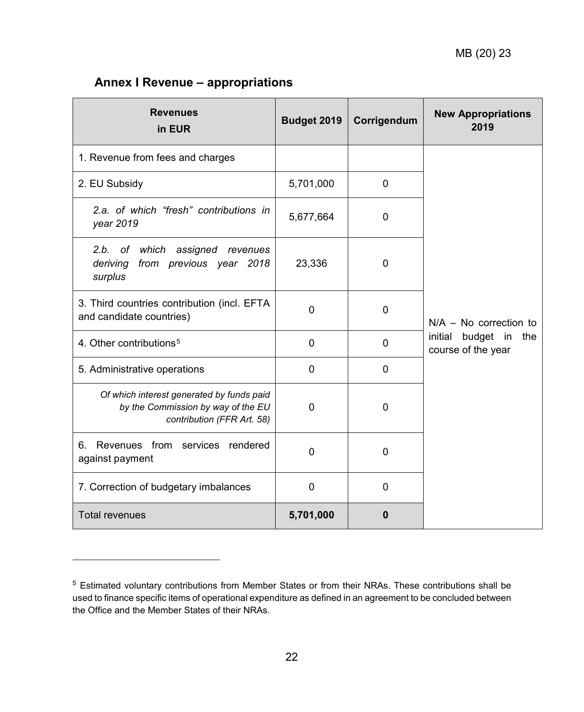## <span id="page-21-0"></span>**Annex I Revenue – appropriations**

 $\ddot{\phantom{a}}$ 

| <b>Revenues</b><br>in EUR                                                                                     | Budget 2019 | Corrigendum | <b>New Appropriations</b><br>2019              |
|---------------------------------------------------------------------------------------------------------------|-------------|-------------|------------------------------------------------|
| 1. Revenue from fees and charges                                                                              |             |             |                                                |
| 2. EU Subsidy                                                                                                 | 5,701,000   | 0           |                                                |
| 2.a. of which "fresh" contributions in<br>year 2019                                                           | 5,677,664   | 0           |                                                |
| 2.b. of which<br>assigned revenues<br>from previous year 2018<br>deriving<br>surplus                          | 23,336      | 0           |                                                |
| 3. Third countries contribution (incl. EFTA<br>and candidate countries)                                       | $\mathbf 0$ | 0           | $N/A - No$ correction to                       |
| 4. Other contributions <sup>5</sup>                                                                           | $\Omega$    | $\Omega$    | initial budget in<br>the<br>course of the year |
| 5. Administrative operations                                                                                  | $\mathbf 0$ | 0           |                                                |
| Of which interest generated by funds paid<br>by the Commission by way of the EU<br>contribution (FFR Art. 58) | $\mathbf 0$ | 0           |                                                |
| Revenues from services rendered<br>6.<br>against payment                                                      | $\Omega$    | 0           |                                                |
| 7. Correction of budgetary imbalances                                                                         | $\mathbf 0$ | 0           |                                                |
| <b>Total revenues</b>                                                                                         | 5,701,000   | 0           |                                                |

<span id="page-21-1"></span><sup>5</sup> Estimated voluntary contributions from Member States or from their NRAs. These contributions shall be used to finance specific items of operational expenditure as defined in an agreement to be concluded between the Office and the Member States of their NRAs.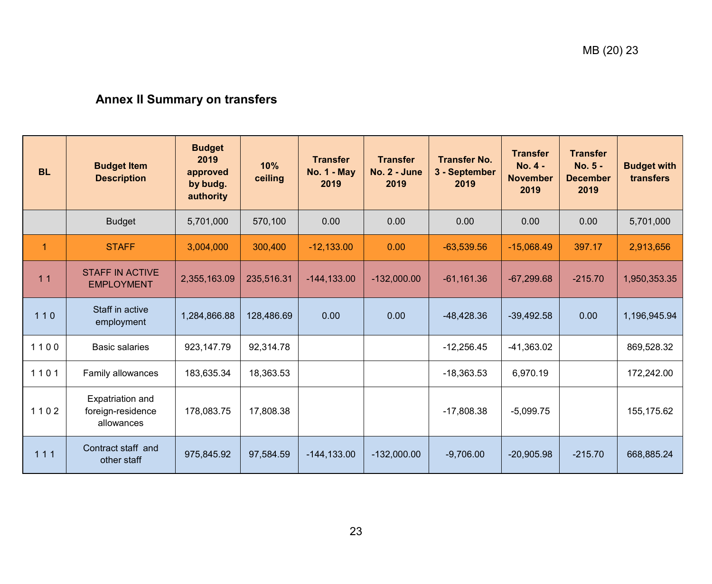# **Annex II Summary on transfers**

<span id="page-22-0"></span>

| <b>BL</b>      | <b>Budget Item</b><br><b>Description</b>                   | <b>Budget</b><br>2019<br>approved<br>by budg.<br>authority | 10%<br>ceiling | <b>Transfer</b><br><b>No. 1 - May</b><br>2019 | <b>Transfer</b><br><b>No. 2 - June</b><br>2019 | <b>Transfer No.</b><br>3 - September<br>2019 | <b>Transfer</b><br><b>No. 4 -</b><br><b>November</b><br>2019 | <b>Transfer</b><br>No. 5 -<br><b>December</b><br>2019 | <b>Budget with</b><br>transfers |
|----------------|------------------------------------------------------------|------------------------------------------------------------|----------------|-----------------------------------------------|------------------------------------------------|----------------------------------------------|--------------------------------------------------------------|-------------------------------------------------------|---------------------------------|
|                | <b>Budget</b>                                              | 5,701,000                                                  | 570,100        | 0.00                                          | 0.00                                           | 0.00                                         | 0.00                                                         | 0.00                                                  | 5,701,000                       |
| $\overline{1}$ | <b>STAFF</b>                                               | 3,004,000                                                  | 300,400        | $-12,133.00$                                  | 0.00                                           | $-63,539.56$                                 | $-15,068.49$                                                 | 397.17                                                | 2,913,656                       |
| 11             | <b>STAFF IN ACTIVE</b><br><b>EMPLOYMENT</b>                | 2,355,163.09                                               | 235,516.31     | $-144, 133.00$                                | $-132,000.00$                                  | $-61,161.36$                                 | $-67,299.68$                                                 | $-215.70$                                             | 1,950,353.35                    |
| $110$          | Staff in active<br>employment                              | 1,284,866.88                                               | 128,486.69     | 0.00                                          | 0.00                                           | $-48.428.36$                                 | $-39,492.58$                                                 | 0.00                                                  | 1,196,945.94                    |
| 1100           | <b>Basic salaries</b>                                      | 923,147.79                                                 | 92,314.78      |                                               |                                                | $-12,256.45$                                 | $-41,363.02$                                                 |                                                       | 869,528.32                      |
| 1101           | Family allowances                                          | 183,635.34                                                 | 18,363.53      |                                               |                                                | $-18,363.53$                                 | 6.970.19                                                     |                                                       | 172,242.00                      |
| 1102           | <b>Expatriation and</b><br>foreign-residence<br>allowances | 178,083.75                                                 | 17,808.38      |                                               |                                                | $-17,808.38$                                 | $-5,099.75$                                                  |                                                       | 155,175.62                      |
| 111            | Contract staff and<br>other staff                          | 975,845.92                                                 | 97,584.59      | $-144, 133.00$                                | $-132,000.00$                                  | $-9,706.00$                                  | $-20,905.98$                                                 | $-215.70$                                             | 668,885.24                      |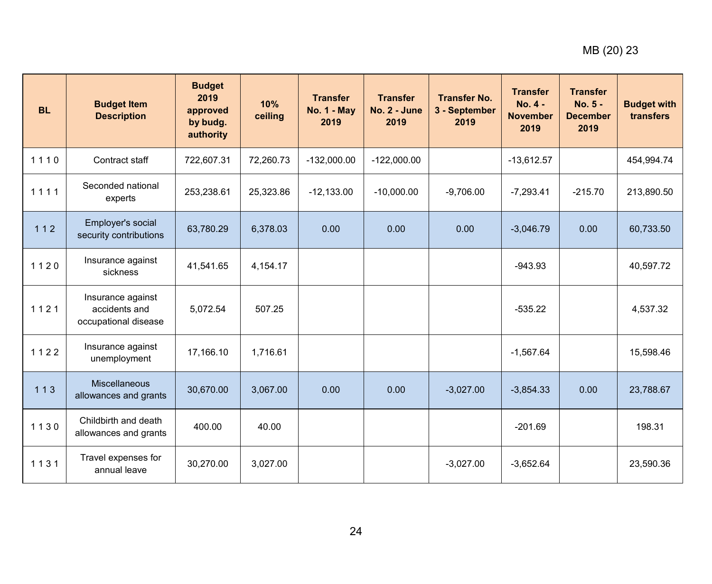| <b>BL</b> | <b>Budget Item</b><br><b>Description</b>                   | <b>Budget</b><br>2019<br>approved<br>by budg.<br>authority | 10%<br>ceiling | <b>Transfer</b><br><b>No. 1 - May</b><br>2019 | <b>Transfer</b><br>No. 2 - June<br>2019 | <b>Transfer No.</b><br>3 - September<br>2019 | <b>Transfer</b><br>$No. 4 -$<br><b>November</b><br>2019 | <b>Transfer</b><br>No. 5 -<br><b>December</b><br>2019 | <b>Budget with</b><br>transfers |
|-----------|------------------------------------------------------------|------------------------------------------------------------|----------------|-----------------------------------------------|-----------------------------------------|----------------------------------------------|---------------------------------------------------------|-------------------------------------------------------|---------------------------------|
| 1110      | Contract staff                                             | 722,607.31                                                 | 72,260.73      | $-132,000.00$                                 | $-122,000.00$                           |                                              | $-13,612.57$                                            |                                                       | 454,994.74                      |
| 1111      | Seconded national<br>experts                               | 253,238.61                                                 | 25,323.86      | $-12,133.00$                                  | $-10,000.00$                            | $-9,706.00$                                  | $-7,293.41$                                             | $-215.70$                                             | 213,890.50                      |
| $112$     | Employer's social<br>security contributions                | 63,780.29                                                  | 6,378.03       | 0.00                                          | 0.00                                    | 0.00                                         | $-3,046.79$                                             | 0.00                                                  | 60,733.50                       |
| 1120      | Insurance against<br>sickness                              | 41,541.65                                                  | 4,154.17       |                                               |                                         |                                              | $-943.93$                                               |                                                       | 40,597.72                       |
| 1121      | Insurance against<br>accidents and<br>occupational disease | 5,072.54                                                   | 507.25         |                                               |                                         |                                              | $-535.22$                                               |                                                       | 4,537.32                        |
| 1122      | Insurance against<br>unemployment                          | 17,166.10                                                  | 1,716.61       |                                               |                                         |                                              | $-1,567.64$                                             |                                                       | 15,598.46                       |
| $113$     | <b>Miscellaneous</b><br>allowances and grants              | 30,670.00                                                  | 3,067.00       | 0.00                                          | 0.00                                    | $-3,027.00$                                  | $-3,854.33$                                             | 0.00                                                  | 23,788.67                       |
| 1130      | Childbirth and death<br>allowances and grants              | 400.00                                                     | 40.00          |                                               |                                         |                                              | $-201.69$                                               |                                                       | 198.31                          |
| 1131      | Travel expenses for<br>annual leave                        | 30,270.00                                                  | 3,027.00       |                                               |                                         | $-3,027.00$                                  | $-3,652.64$                                             |                                                       | 23,590.36                       |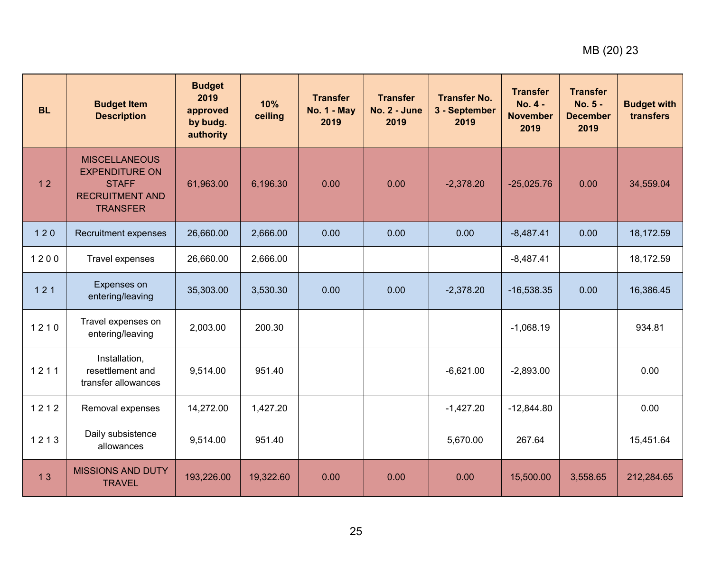| <b>BL</b> | <b>Budget Item</b><br><b>Description</b>                                                                   | <b>Budget</b><br>2019<br>approved<br>by budg.<br>authority | 10%<br>ceiling | <b>Transfer</b><br><b>No. 1 - May</b><br>2019 | <b>Transfer</b><br>No. 2 - June<br>2019 | <b>Transfer No.</b><br>3 - September<br>2019 | <b>Transfer</b><br>$No. 4 -$<br><b>November</b><br>2019 | <b>Transfer</b><br>No. 5 -<br><b>December</b><br>2019 | <b>Budget with</b><br>transfers |
|-----------|------------------------------------------------------------------------------------------------------------|------------------------------------------------------------|----------------|-----------------------------------------------|-----------------------------------------|----------------------------------------------|---------------------------------------------------------|-------------------------------------------------------|---------------------------------|
| 12        | <b>MISCELLANEOUS</b><br><b>EXPENDITURE ON</b><br><b>STAFF</b><br><b>RECRUITMENT AND</b><br><b>TRANSFER</b> | 61,963.00                                                  | 6,196.30       | 0.00                                          | 0.00                                    | $-2,378.20$                                  | $-25,025.76$                                            | 0.00                                                  | 34,559.04                       |
| $120$     | Recruitment expenses                                                                                       | 26,660.00                                                  | 2,666.00       | 0.00                                          | 0.00                                    | 0.00                                         | $-8,487.41$                                             | 0.00                                                  | 18,172.59                       |
| 1200      | Travel expenses                                                                                            | 26,660.00                                                  | 2,666.00       |                                               |                                         |                                              | $-8,487.41$                                             |                                                       | 18,172.59                       |
| 121       | Expenses on<br>entering/leaving                                                                            | 35,303.00                                                  | 3,530.30       | 0.00                                          | 0.00                                    | $-2,378.20$                                  | $-16,538.35$                                            | 0.00                                                  | 16,386.45                       |
| 1210      | Travel expenses on<br>entering/leaving                                                                     | 2,003.00                                                   | 200.30         |                                               |                                         |                                              | $-1,068.19$                                             |                                                       | 934.81                          |
| 1211      | Installation,<br>resettlement and<br>transfer allowances                                                   | 9,514.00                                                   | 951.40         |                                               |                                         | $-6,621.00$                                  | $-2,893.00$                                             |                                                       | 0.00                            |
| 1212      | Removal expenses                                                                                           | 14,272.00                                                  | 1,427.20       |                                               |                                         | $-1,427.20$                                  | $-12,844.80$                                            |                                                       | 0.00                            |
| 1213      | Daily subsistence<br>allowances                                                                            | 9,514.00                                                   | 951.40         |                                               |                                         | 5,670.00                                     | 267.64                                                  |                                                       | 15,451.64                       |
| 13        | <b>MISSIONS AND DUTY</b><br><b>TRAVEL</b>                                                                  | 193,226.00                                                 | 19,322.60      | 0.00                                          | 0.00                                    | 0.00                                         | 15,500.00                                               | 3,558.65                                              | 212,284.65                      |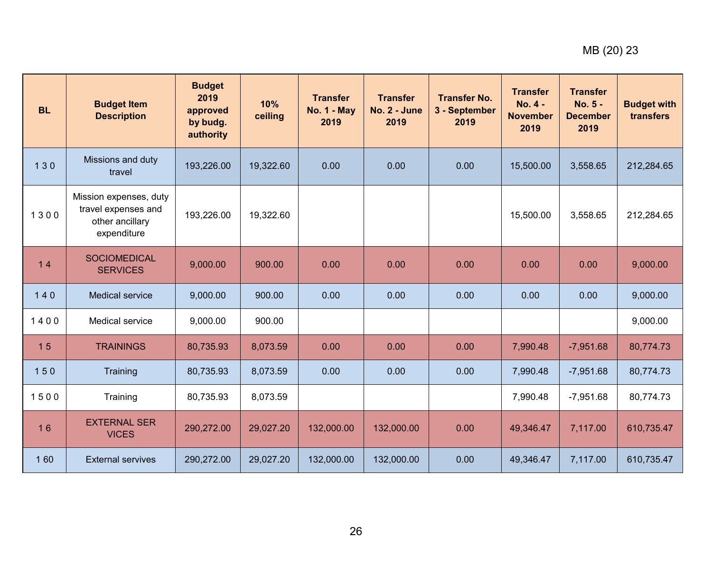| <b>BL</b> | <b>Budget Item</b><br><b>Description</b>                                        | <b>Budget</b><br>2019<br>approved<br>by budg.<br>authority | 10%<br>ceiling | <b>Transfer</b><br><b>No. 1 - May</b><br>2019 | <b>Transfer</b><br><b>No. 2 - June</b><br>2019 | <b>Transfer No.</b><br>3 - September<br>2019 | <b>Transfer</b><br>No. 4 -<br><b>November</b><br>2019 | <b>Transfer</b><br>No. 5 -<br><b>December</b><br>2019 | <b>Budget with</b><br>transfers |
|-----------|---------------------------------------------------------------------------------|------------------------------------------------------------|----------------|-----------------------------------------------|------------------------------------------------|----------------------------------------------|-------------------------------------------------------|-------------------------------------------------------|---------------------------------|
| 130       | Missions and duty<br>travel                                                     | 193,226.00                                                 | 19,322.60      | 0.00                                          | 0.00                                           | 0.00                                         | 15,500.00                                             | 3,558.65                                              | 212,284.65                      |
| 1300      | Mission expenses, duty<br>travel expenses and<br>other ancillary<br>expenditure | 193,226.00                                                 | 19,322.60      |                                               |                                                |                                              | 15,500.00                                             | 3,558.65                                              | 212,284.65                      |
| 14        | <b>SOCIOMEDICAL</b><br><b>SERVICES</b>                                          | 9,000.00                                                   | 900.00         | 0.00                                          | 0.00                                           | 0.00                                         | 0.00                                                  | 0.00                                                  | 9,000.00                        |
| $140$     | <b>Medical service</b>                                                          | 9,000.00                                                   | 900.00         | 0.00                                          | 0.00                                           | 0.00                                         | 0.00                                                  | 0.00                                                  | 9,000.00                        |
| 1400      | Medical service                                                                 | 9.000.00                                                   | 900.00         |                                               |                                                |                                              |                                                       |                                                       | 9,000.00                        |
| 15        | <b>TRAININGS</b>                                                                | 80,735.93                                                  | 8,073.59       | 0.00                                          | 0.00                                           | 0.00                                         | 7,990.48                                              | $-7,951.68$                                           | 80,774.73                       |
| 150       | Training                                                                        | 80,735.93                                                  | 8,073.59       | 0.00                                          | 0.00                                           | 0.00                                         | 7,990.48                                              | $-7,951.68$                                           | 80,774.73                       |
| 1500      | Training                                                                        | 80,735.93                                                  | 8,073.59       |                                               |                                                |                                              | 7,990.48                                              | $-7,951.68$                                           | 80,774.73                       |
| 16        | <b>EXTERNAL SER</b><br><b>VICES</b>                                             | 290,272.00                                                 | 29,027.20      | 132,000.00                                    | 132,000.00                                     | 0.00                                         | 49,346.47                                             | 7,117.00                                              | 610,735.47                      |
| 160       | <b>External servives</b>                                                        | 290,272.00                                                 | 29,027.20      | 132,000.00                                    | 132,000.00                                     | 0.00                                         | 49,346.47                                             | 7,117.00                                              | 610,735.47                      |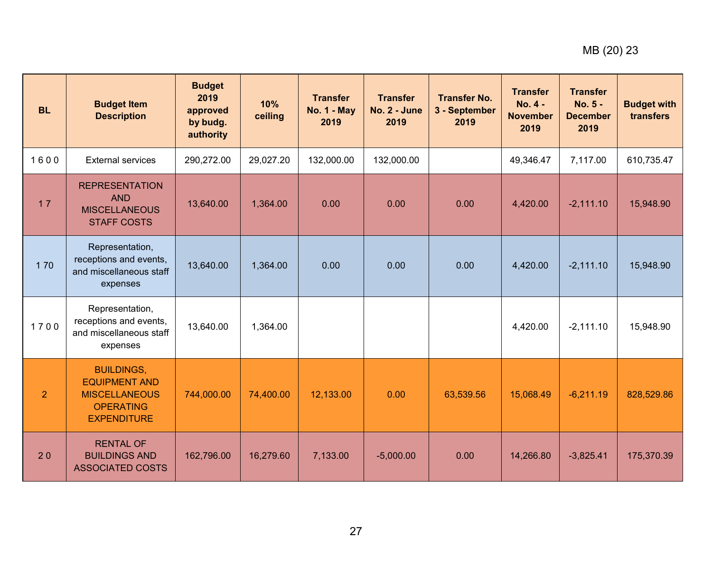| <b>BL</b>      | <b>Budget Item</b><br><b>Description</b>                                                                    | <b>Budget</b><br>2019<br>approved<br>by budg.<br>authority | 10%<br>ceiling | <b>Transfer</b><br><b>No. 1 - May</b><br>2019 | <b>Transfer</b><br><b>No. 2 - June</b><br>2019 | <b>Transfer No.</b><br>3 - September<br>2019 | <b>Transfer</b><br>$No. 4 -$<br><b>November</b><br>2019 | <b>Transfer</b><br>No. 5 -<br><b>December</b><br>2019 | <b>Budget with</b><br>transfers |
|----------------|-------------------------------------------------------------------------------------------------------------|------------------------------------------------------------|----------------|-----------------------------------------------|------------------------------------------------|----------------------------------------------|---------------------------------------------------------|-------------------------------------------------------|---------------------------------|
| 1600           | <b>External services</b>                                                                                    | 290,272.00                                                 | 29,027.20      | 132,000.00                                    | 132,000.00                                     |                                              | 49,346.47                                               | 7,117.00                                              | 610,735.47                      |
| 17             | <b>REPRESENTATION</b><br><b>AND</b><br><b>MISCELLANEOUS</b><br><b>STAFF COSTS</b>                           | 13,640.00                                                  | 1,364.00       | 0.00                                          | 0.00                                           | 0.00                                         | 4,420.00                                                | $-2,111.10$                                           | 15,948.90                       |
| 170            | Representation,<br>receptions and events,<br>and miscellaneous staff<br>expenses                            | 13,640.00                                                  | 1,364.00       | 0.00                                          | 0.00                                           | 0.00                                         | 4,420.00                                                | $-2,111.10$                                           | 15,948.90                       |
| 1700           | Representation,<br>receptions and events,<br>and miscellaneous staff<br>expenses                            | 13,640.00                                                  | 1,364.00       |                                               |                                                |                                              | 4,420.00                                                | $-2,111.10$                                           | 15,948.90                       |
| $\overline{2}$ | <b>BUILDINGS,</b><br><b>EQUIPMENT AND</b><br><b>MISCELLANEOUS</b><br><b>OPERATING</b><br><b>EXPENDITURE</b> | 744,000.00                                                 | 74,400.00      | 12,133.00                                     | 0.00                                           | 63,539.56                                    | 15,068.49                                               | $-6,211.19$                                           | 828,529.86                      |
| 20             | <b>RENTAL OF</b><br><b>BUILDINGS AND</b><br><b>ASSOCIATED COSTS</b>                                         | 162,796.00                                                 | 16,279.60      | 7,133.00                                      | $-5,000.00$                                    | 0.00                                         | 14,266.80                                               | $-3,825.41$                                           | 175,370.39                      |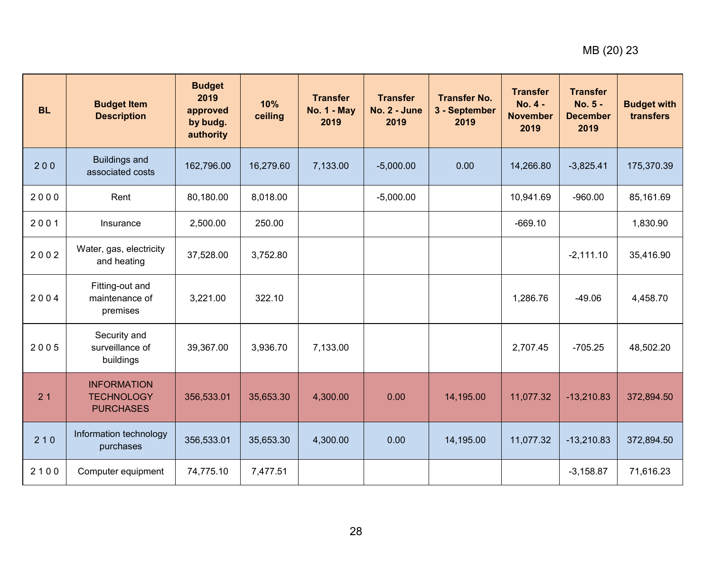| <b>BL</b> | <b>Budget Item</b><br><b>Description</b>                    | <b>Budget</b><br>2019<br>approved<br>by budg.<br>authority | 10%<br>ceiling | <b>Transfer</b><br><b>No. 1 - May</b><br>2019 | <b>Transfer</b><br>No. 2 - June<br>2019 | <b>Transfer No.</b><br>3 - September<br>2019 | <b>Transfer</b><br>No. 4 -<br><b>November</b><br>2019 | <b>Transfer</b><br>No. 5 -<br><b>December</b><br>2019 | <b>Budget with</b><br>transfers |
|-----------|-------------------------------------------------------------|------------------------------------------------------------|----------------|-----------------------------------------------|-----------------------------------------|----------------------------------------------|-------------------------------------------------------|-------------------------------------------------------|---------------------------------|
| 200       | <b>Buildings and</b><br>associated costs                    | 162,796.00                                                 | 16,279.60      | 7,133.00                                      | $-5,000.00$                             | 0.00                                         | 14,266.80                                             | $-3,825.41$                                           | 175,370.39                      |
| 2000      | Rent                                                        | 80,180.00                                                  | 8.018.00       |                                               | $-5,000.00$                             |                                              | 10,941.69                                             | $-960.00$                                             | 85,161.69                       |
| 2001      | Insurance                                                   | 2,500.00                                                   | 250.00         |                                               |                                         |                                              | $-669.10$                                             |                                                       | 1,830.90                        |
| 2002      | Water, gas, electricity<br>and heating                      | 37,528.00                                                  | 3,752.80       |                                               |                                         |                                              |                                                       | $-2,111.10$                                           | 35,416.90                       |
| 2004      | Fitting-out and<br>maintenance of<br>premises               | 3,221.00                                                   | 322.10         |                                               |                                         |                                              | 1,286.76                                              | $-49.06$                                              | 4,458.70                        |
| 2005      | Security and<br>surveillance of<br>buildings                | 39,367.00                                                  | 3,936.70       | 7,133.00                                      |                                         |                                              | 2,707.45                                              | $-705.25$                                             | 48,502.20                       |
| 21        | <b>INFORMATION</b><br><b>TECHNOLOGY</b><br><b>PURCHASES</b> | 356,533.01                                                 | 35,653.30      | 4,300.00                                      | 0.00                                    | 14,195.00                                    | 11,077.32                                             | $-13,210.83$                                          | 372,894.50                      |
| 210       | Information technology<br>purchases                         | 356,533.01                                                 | 35,653.30      | 4,300.00                                      | 0.00                                    | 14,195.00                                    | 11,077.32                                             | $-13,210.83$                                          | 372,894.50                      |
| 2100      | Computer equipment                                          | 74,775.10                                                  | 7,477.51       |                                               |                                         |                                              |                                                       | $-3,158.87$                                           | 71,616.23                       |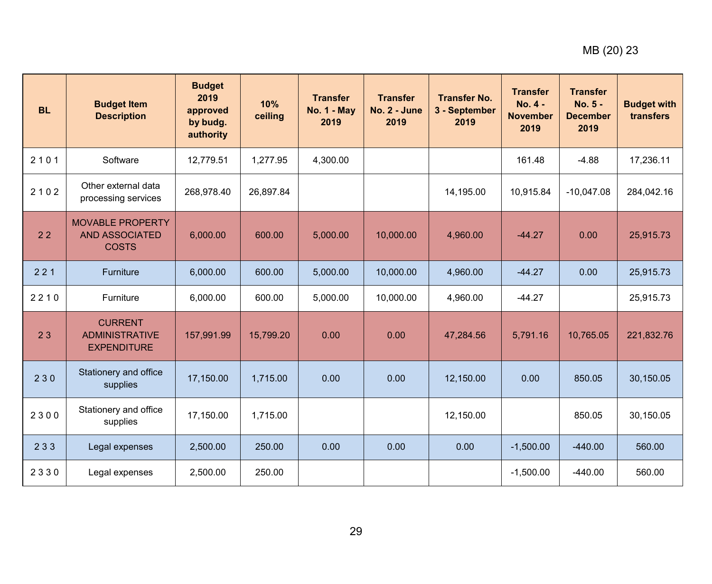| <b>BL</b> | <b>Budget Item</b><br><b>Description</b>                         | <b>Budget</b><br>2019<br>approved<br>by budg.<br>authority | 10%<br>ceiling | <b>Transfer</b><br><b>No. 1 - May</b><br>2019 | <b>Transfer</b><br>No. 2 - June<br>2019 | <b>Transfer No.</b><br>3 - September<br>2019 | <b>Transfer</b><br>$No. 4 -$<br><b>November</b><br>2019 | <b>Transfer</b><br>No. 5 -<br><b>December</b><br>2019 | <b>Budget with</b><br>transfers |
|-----------|------------------------------------------------------------------|------------------------------------------------------------|----------------|-----------------------------------------------|-----------------------------------------|----------------------------------------------|---------------------------------------------------------|-------------------------------------------------------|---------------------------------|
| 2101      | Software                                                         | 12,779.51                                                  | 1,277.95       | 4,300.00                                      |                                         |                                              | 161.48                                                  | $-4.88$                                               | 17,236.11                       |
| 2102      | Other external data<br>processing services                       | 268,978.40                                                 | 26,897.84      |                                               |                                         | 14,195.00                                    | 10,915.84                                               | $-10,047.08$                                          | 284,042.16                      |
| 22        | <b>MOVABLE PROPERTY</b><br><b>AND ASSOCIATED</b><br><b>COSTS</b> | 6,000.00                                                   | 600.00         | 5,000.00                                      | 10,000.00                               | 4,960.00                                     | $-44.27$                                                | 0.00                                                  | 25,915.73                       |
| 221       | Furniture                                                        | 6,000.00                                                   | 600.00         | 5,000.00                                      | 10,000.00                               | 4,960.00                                     | $-44.27$                                                | 0.00                                                  | 25,915.73                       |
| 2210      | Furniture                                                        | 6,000.00                                                   | 600.00         | 5,000.00                                      | 10,000.00                               | 4,960.00                                     | $-44.27$                                                |                                                       | 25,915.73                       |
| 23        | <b>CURRENT</b><br><b>ADMINISTRATIVE</b><br><b>EXPENDITURE</b>    | 157,991.99                                                 | 15,799.20      | 0.00                                          | 0.00                                    | 47,284.56                                    | 5,791.16                                                | 10,765.05                                             | 221,832.76                      |
| 230       | Stationery and office<br>supplies                                | 17,150.00                                                  | 1,715.00       | 0.00                                          | 0.00                                    | 12,150.00                                    | 0.00                                                    | 850.05                                                | 30,150.05                       |
| 2300      | Stationery and office<br>supplies                                | 17,150.00                                                  | 1,715.00       |                                               |                                         | 12,150.00                                    |                                                         | 850.05                                                | 30,150.05                       |
| 233       | Legal expenses                                                   | 2,500.00                                                   | 250.00         | 0.00                                          | 0.00                                    | 0.00                                         | $-1,500.00$                                             | $-440.00$                                             | 560.00                          |
| 2330      | Legal expenses                                                   | 2,500.00                                                   | 250.00         |                                               |                                         |                                              | $-1,500.00$                                             | $-440.00$                                             | 560.00                          |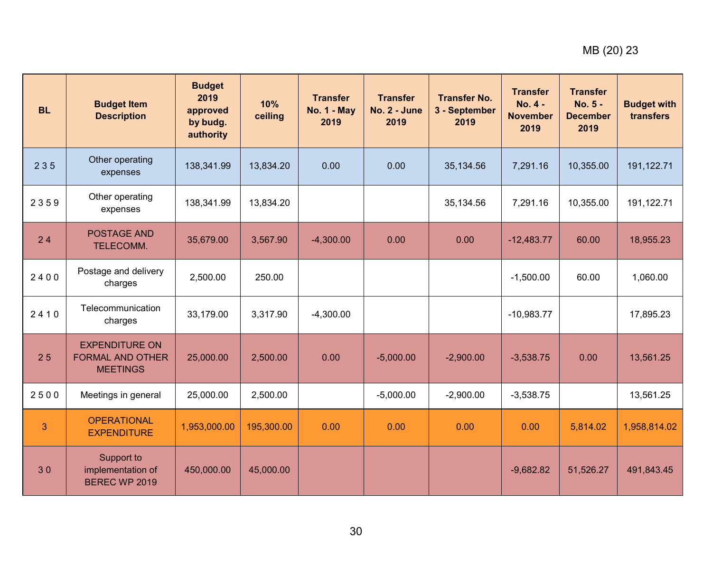| <b>BL</b> | <b>Budget Item</b><br><b>Description</b>                            | <b>Budget</b><br>2019<br>approved<br>by budg.<br>authority | 10%<br>ceiling | <b>Transfer</b><br><b>No. 1 - May</b><br>2019 | <b>Transfer</b><br>No. 2 - June<br>2019 | <b>Transfer No.</b><br>3 - September<br>2019 | <b>Transfer</b><br>No. 4 -<br><b>November</b><br>2019 | <b>Transfer</b><br>No. 5 -<br><b>December</b><br>2019 | <b>Budget with</b><br>transfers |
|-----------|---------------------------------------------------------------------|------------------------------------------------------------|----------------|-----------------------------------------------|-----------------------------------------|----------------------------------------------|-------------------------------------------------------|-------------------------------------------------------|---------------------------------|
| 235       | Other operating<br>expenses                                         | 138,341.99                                                 | 13,834.20      | 0.00                                          | 0.00                                    | 35,134.56                                    | 7,291.16                                              | 10,355.00                                             | 191,122.71                      |
| 2359      | Other operating<br>expenses                                         | 138,341.99                                                 | 13,834.20      |                                               |                                         | 35,134.56                                    | 7,291.16                                              | 10,355.00                                             | 191,122.71                      |
| 24        | <b>POSTAGE AND</b><br>TELECOMM.                                     | 35,679.00                                                  | 3,567.90       | $-4,300.00$                                   | 0.00                                    | 0.00                                         | $-12,483.77$                                          | 60.00                                                 | 18,955.23                       |
| 2400      | Postage and delivery<br>charges                                     | 2,500.00                                                   | 250.00         |                                               |                                         |                                              | $-1,500.00$                                           | 60.00                                                 | 1,060.00                        |
| 2410      | Telecommunication<br>charges                                        | 33,179.00                                                  | 3,317.90       | $-4,300.00$                                   |                                         |                                              | $-10,983.77$                                          |                                                       | 17,895.23                       |
| 25        | <b>EXPENDITURE ON</b><br><b>FORMAL AND OTHER</b><br><b>MEETINGS</b> | 25,000.00                                                  | 2,500.00       | 0.00                                          | $-5,000.00$                             | $-2,900.00$                                  | $-3,538.75$                                           | 0.00                                                  | 13,561.25                       |
| 2500      | Meetings in general                                                 | 25,000.00                                                  | 2,500.00       |                                               | $-5,000.00$                             | $-2,900.00$                                  | $-3,538.75$                                           |                                                       | 13,561.25                       |
| 3         | <b>OPERATIONAL</b><br><b>EXPENDITURE</b>                            | 1,953,000.00                                               | 195,300.00     | 0.00                                          | 0.00                                    | 0.00                                         | 0.00                                                  | 5,814.02                                              | 1,958,814.02                    |
| 30        | Support to<br>implementation of<br>BEREC WP 2019                    | 450,000.00                                                 | 45,000.00      |                                               |                                         |                                              | $-9,682.82$                                           | 51,526.27                                             | 491,843.45                      |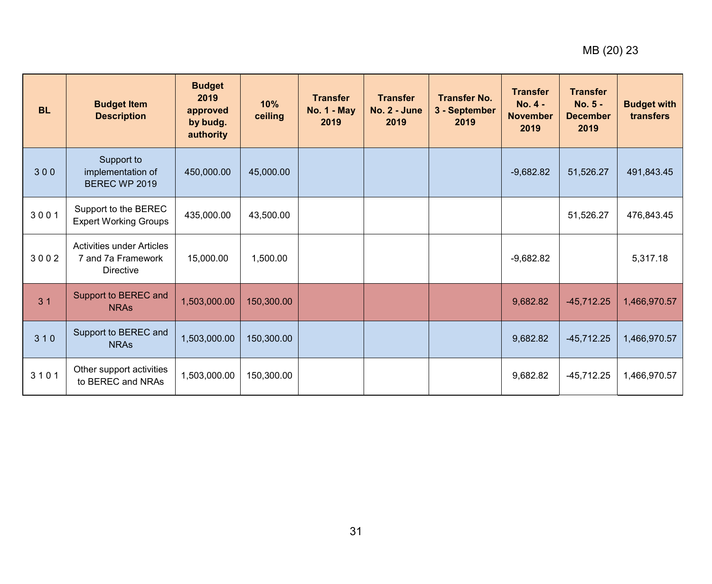| <b>BL</b>      | <b>Budget Item</b><br><b>Description</b>                                   | <b>Budget</b><br>2019<br>approved<br>by budg.<br>authority | 10%<br>ceiling | <b>Transfer</b><br><b>No. 1 - May</b><br>2019 | <b>Transfer</b><br>$No. 2 - June$<br>2019 | <b>Transfer No.</b><br>3 - September<br>2019 | <b>Transfer</b><br>$No. 4 -$<br><b>November</b><br>2019 | <b>Transfer</b><br>$No. 5 -$<br><b>December</b><br>2019 | <b>Budget with</b><br>transfers |
|----------------|----------------------------------------------------------------------------|------------------------------------------------------------|----------------|-----------------------------------------------|-------------------------------------------|----------------------------------------------|---------------------------------------------------------|---------------------------------------------------------|---------------------------------|
| 300            | Support to<br>implementation of<br>BEREC WP 2019                           | 450,000.00                                                 | 45,000.00      |                                               |                                           |                                              | $-9,682.82$                                             | 51,526.27                                               | 491,843.45                      |
| 3001           | Support to the BEREC<br><b>Expert Working Groups</b>                       | 435,000.00                                                 | 43,500.00      |                                               |                                           |                                              |                                                         | 51,526.27                                               | 476,843.45                      |
| 3002           | <b>Activities under Articles</b><br>7 and 7a Framework<br><b>Directive</b> | 15,000.00                                                  | 1,500.00       |                                               |                                           |                                              | $-9,682.82$                                             |                                                         | 5,317.18                        |
| 3 <sub>1</sub> | Support to BEREC and<br><b>NRAs</b>                                        | 1,503,000.00                                               | 150,300.00     |                                               |                                           |                                              | 9,682.82                                                | $-45,712.25$                                            | 1,466,970.57                    |
| 310            | Support to BEREC and<br><b>NRAs</b>                                        | 1,503,000.00                                               | 150,300.00     |                                               |                                           |                                              | 9,682.82                                                | $-45,712.25$                                            | 1,466,970.57                    |
| 3101           | Other support activities<br>to BEREC and NRAs                              | 1,503,000.00                                               | 150,300.00     |                                               |                                           |                                              | 9,682.82                                                | $-45,712.25$                                            | 1,466,970.57                    |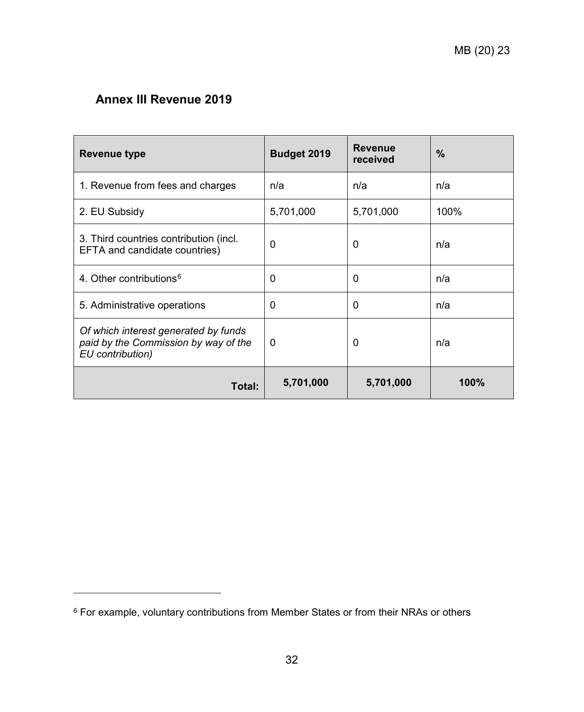# <span id="page-31-0"></span>**Annex III Revenue 2019**

-

| Revenue type                                                                                     | Budget 2019 | <b>Revenue</b><br>received | %    |  |
|--------------------------------------------------------------------------------------------------|-------------|----------------------------|------|--|
| 1. Revenue from fees and charges                                                                 | n/a         | n/a                        | n/a  |  |
| 2. EU Subsidy                                                                                    | 5,701,000   | 5,701,000                  | 100% |  |
| 3. Third countries contribution (incl.<br>EFTA and candidate countries)                          | 0           | 0                          | n/a  |  |
| 4. Other contributions <sup>6</sup>                                                              | 0           | 0                          | n/a  |  |
| 5. Administrative operations                                                                     | 0           | 0                          | n/a  |  |
| Of which interest generated by funds<br>paid by the Commission by way of the<br>EU contribution) | 0           | 0                          | n/a  |  |
| Total:                                                                                           | 5,701,000   | 5,701,000                  | 100% |  |

<span id="page-31-1"></span><sup>6</sup> For example, voluntary contributions from Member States or from their NRAs or others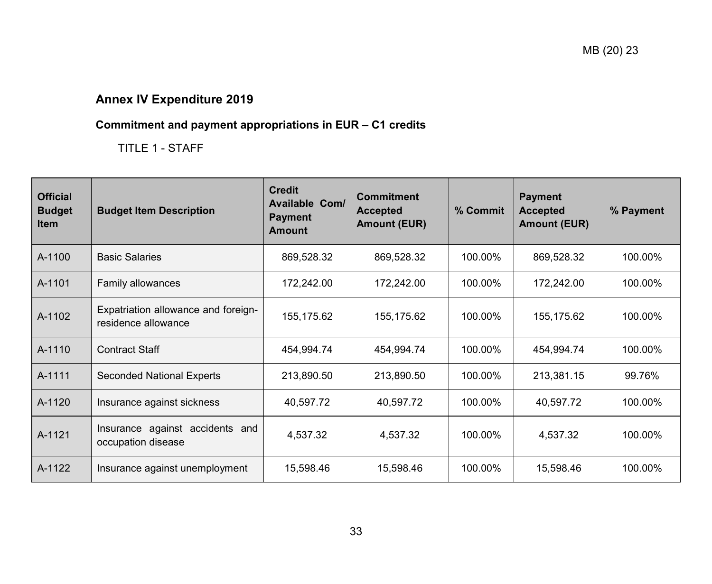# **Annex IV Expenditure 2019**

# **Commitment and payment appropriations in EUR – C1 credits**

TITLE 1 - STAFF

<span id="page-32-1"></span><span id="page-32-0"></span>

| <b>Official</b><br><b>Budget</b><br><b>Item</b> | <b>Budget Item Description</b>                             | <b>Credit</b><br>Available Com/<br><b>Payment</b><br><b>Amount</b> | <b>Commitment</b><br><b>Accepted</b><br><b>Amount (EUR)</b> | % Commit | <b>Payment</b><br><b>Accepted</b><br><b>Amount (EUR)</b> | % Payment |
|-------------------------------------------------|------------------------------------------------------------|--------------------------------------------------------------------|-------------------------------------------------------------|----------|----------------------------------------------------------|-----------|
| A-1100                                          | <b>Basic Salaries</b>                                      | 869,528.32                                                         | 869,528.32                                                  | 100.00%  | 869,528.32                                               | 100.00%   |
| A-1101                                          | Family allowances                                          | 172,242.00                                                         | 172,242.00                                                  | 100.00%  | 172,242.00                                               | 100.00%   |
| A-1102                                          | Expatriation allowance and foreign-<br>residence allowance | 155,175.62                                                         | 155,175.62                                                  | 100.00%  | 155,175.62                                               | 100.00%   |
| A-1110                                          | <b>Contract Staff</b>                                      | 454,994.74                                                         | 454,994.74                                                  | 100.00%  | 454,994.74                                               | 100.00%   |
| A-1111                                          | <b>Seconded National Experts</b>                           | 213,890.50                                                         | 213,890.50                                                  | 100.00%  | 213,381.15                                               | 99.76%    |
| A-1120                                          | Insurance against sickness                                 | 40,597.72                                                          | 40,597.72                                                   | 100.00%  | 40,597.72                                                | 100.00%   |
| A-1121                                          | Insurance against accidents and<br>occupation disease      | 4,537.32                                                           | 4,537.32                                                    | 100.00%  | 4,537.32                                                 | 100.00%   |
| A-1122                                          | Insurance against unemployment                             | 15,598.46                                                          | 15,598.46                                                   | 100.00%  | 15,598.46                                                | 100.00%   |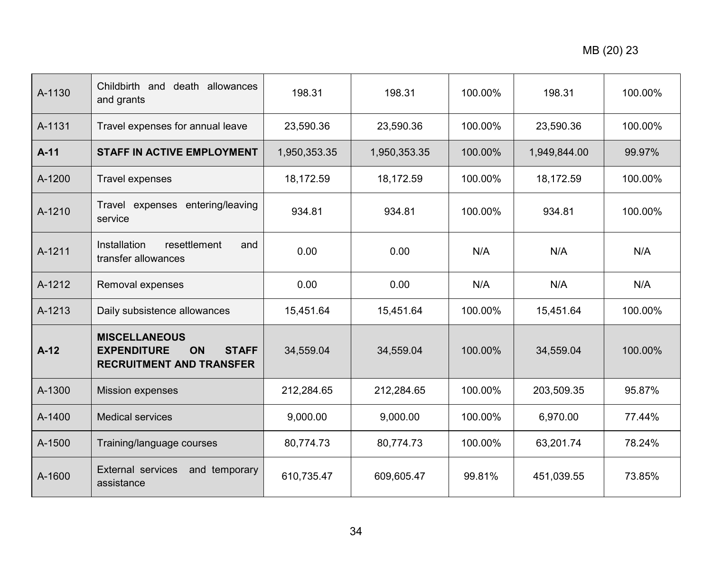| A-1130 | Childbirth and<br>death allowances<br>and grants                                                           | 198.31       | 198.31       | 100.00% | 198.31       | 100.00% |
|--------|------------------------------------------------------------------------------------------------------------|--------------|--------------|---------|--------------|---------|
| A-1131 | Travel expenses for annual leave                                                                           | 23,590.36    | 23,590.36    | 100.00% | 23,590.36    | 100.00% |
| $A-11$ | <b>STAFF IN ACTIVE EMPLOYMENT</b>                                                                          | 1,950,353.35 | 1,950,353.35 | 100.00% | 1,949,844.00 | 99.97%  |
| A-1200 | Travel expenses                                                                                            | 18,172.59    | 18,172.59    | 100.00% | 18,172.59    | 100.00% |
| A-1210 | Travel expenses<br>entering/leaving<br>service                                                             | 934.81       | 934.81       | 100.00% | 934.81       | 100.00% |
| A-1211 | Installation<br>resettlement<br>and<br>transfer allowances                                                 | 0.00         | 0.00         | N/A     | N/A          | N/A     |
| A-1212 | Removal expenses                                                                                           | 0.00         | 0.00         | N/A     | N/A          | N/A     |
| A-1213 | Daily subsistence allowances                                                                               | 15,451.64    | 15,451.64    | 100.00% | 15,451.64    | 100.00% |
| $A-12$ | <b>MISCELLANEOUS</b><br><b>EXPENDITURE</b><br><b>ON</b><br><b>STAFF</b><br><b>RECRUITMENT AND TRANSFER</b> | 34,559.04    | 34,559.04    | 100.00% | 34,559.04    | 100.00% |
| A-1300 | <b>Mission expenses</b>                                                                                    | 212,284.65   | 212,284.65   | 100.00% | 203,509.35   | 95.87%  |
| A-1400 | <b>Medical services</b>                                                                                    | 9,000.00     | 9,000.00     | 100.00% | 6,970.00     | 77.44%  |
| A-1500 | Training/language courses                                                                                  | 80,774.73    | 80,774.73    | 100.00% | 63,201.74    | 78.24%  |
| A-1600 | External services<br>and temporary<br>assistance                                                           | 610,735.47   | 609,605.47   | 99.81%  | 451,039.55   | 73.85%  |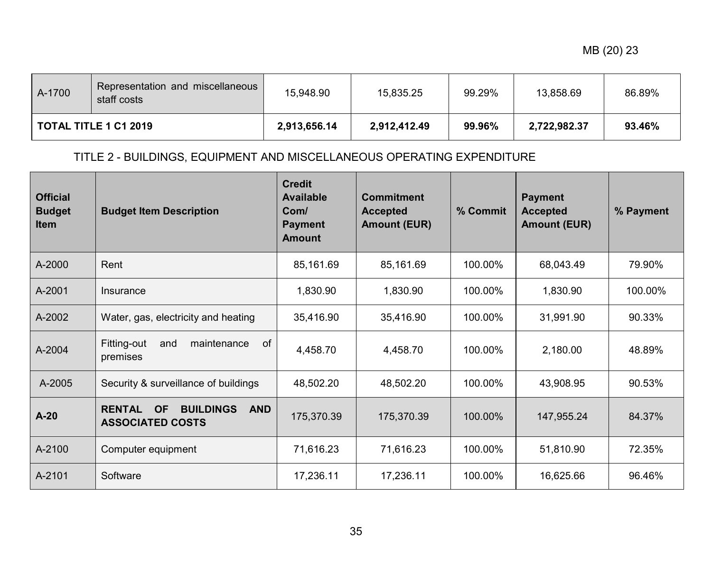| A-1700                       | Representation and miscellaneous<br>staff costs | 15,948.90    | 15,835.25    | 99.29% | 13,858.69    | 86.89% |
|------------------------------|-------------------------------------------------|--------------|--------------|--------|--------------|--------|
| <b>TOTAL TITLE 1 C1 2019</b> |                                                 | 2,913,656.14 | 2,912,412.49 | 99.96% | 2,722,982.37 | 93.46% |

# TITLE 2 - BUILDINGS, EQUIPMENT AND MISCELLANEOUS OPERATING EXPENDITURE

| <b>Official</b><br><b>Budget</b><br><b>Item</b> | <b>Budget Item Description</b>                                                          | <b>Credit</b><br><b>Available</b><br>Com/<br><b>Payment</b><br><b>Amount</b> | <b>Commitment</b><br><b>Accepted</b><br><b>Amount (EUR)</b> | % Commit | <b>Payment</b><br><b>Accepted</b><br><b>Amount (EUR)</b> | % Payment |
|-------------------------------------------------|-----------------------------------------------------------------------------------------|------------------------------------------------------------------------------|-------------------------------------------------------------|----------|----------------------------------------------------------|-----------|
| A-2000                                          | Rent                                                                                    | 85,161.69                                                                    | 85,161.69                                                   | 100.00%  | 68,043.49                                                | 79.90%    |
| A-2001                                          | Insurance                                                                               | 1,830.90                                                                     | 1,830.90                                                    | 100.00%  | 1,830.90                                                 | 100.00%   |
| A-2002                                          | Water, gas, electricity and heating                                                     | 35,416.90                                                                    | 35,416.90                                                   | 100.00%  | 31,991.90                                                | 90.33%    |
| A-2004                                          | of<br>Fitting-out<br>maintenance<br>and<br>premises                                     | 4,458.70                                                                     | 4,458.70                                                    | 100.00%  | 2,180.00                                                 | 48.89%    |
| A-2005                                          | Security & surveillance of buildings                                                    | 48,502.20                                                                    | 48,502.20                                                   | 100.00%  | 43,908.95                                                | 90.53%    |
| $A-20$                                          | <b>RENTAL</b><br><b>OF</b><br><b>BUILDINGS</b><br><b>AND</b><br><b>ASSOCIATED COSTS</b> | 175,370.39                                                                   | 175,370.39                                                  | 100.00%  | 147,955.24                                               | 84.37%    |
| A-2100                                          | Computer equipment                                                                      | 71,616.23                                                                    | 71,616.23                                                   | 100.00%  | 51,810.90                                                | 72.35%    |
| A-2101                                          | Software                                                                                | 17,236.11                                                                    | 17,236.11                                                   | 100.00%  | 16,625.66                                                | 96.46%    |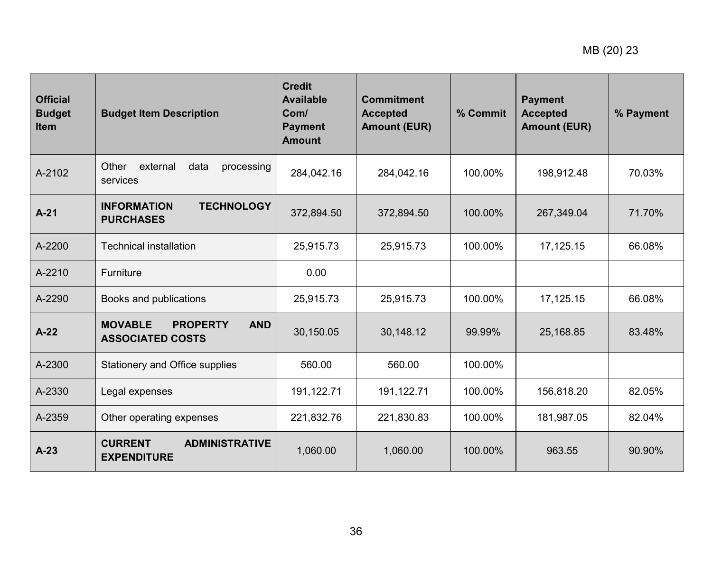| <b>Official</b><br><b>Budget</b><br><b>Item</b> | <b>Budget Item Description</b>                                             | <b>Credit</b><br><b>Available</b><br>Com/<br><b>Payment</b><br><b>Amount</b> | <b>Commitment</b><br><b>Accepted</b><br><b>Amount (EUR)</b> | % Commit | <b>Payment</b><br><b>Accepted</b><br><b>Amount (EUR)</b> | % Payment |
|-------------------------------------------------|----------------------------------------------------------------------------|------------------------------------------------------------------------------|-------------------------------------------------------------|----------|----------------------------------------------------------|-----------|
| A-2102                                          | Other<br>external<br>data<br>processing<br>services                        | 284,042.16                                                                   | 284,042.16                                                  | 100.00%  | 198,912.48                                               | 70.03%    |
| $A-21$                                          | <b>INFORMATION</b><br><b>TECHNOLOGY</b><br><b>PURCHASES</b>                | 372,894.50                                                                   | 372,894.50                                                  | 100.00%  | 267,349.04                                               | 71.70%    |
| A-2200                                          | <b>Technical installation</b>                                              | 25,915.73                                                                    | 25,915.73                                                   | 100.00%  | 17,125.15                                                | 66.08%    |
| A-2210                                          | Furniture                                                                  | 0.00                                                                         |                                                             |          |                                                          |           |
| A-2290                                          | Books and publications                                                     | 25,915.73                                                                    | 25,915.73                                                   | 100.00%  | 17,125.15                                                | 66.08%    |
| $A-22$                                          | <b>MOVABLE</b><br><b>PROPERTY</b><br><b>AND</b><br><b>ASSOCIATED COSTS</b> | 30,150.05                                                                    | 30,148.12                                                   | 99.99%   | 25,168.85                                                | 83.48%    |
| A-2300                                          | Stationery and Office supplies                                             | 560.00                                                                       | 560.00                                                      | 100.00%  |                                                          |           |
| A-2330                                          | Legal expenses                                                             | 191,122.71                                                                   | 191,122.71                                                  | 100.00%  | 156,818.20                                               | 82.05%    |
| A-2359                                          | Other operating expenses                                                   | 221,832.76                                                                   | 221,830.83                                                  | 100.00%  | 181,987.05                                               | 82.04%    |
| $A-23$                                          | <b>CURRENT</b><br><b>ADMINISTRATIVE</b><br><b>EXPENDITURE</b>              | 1,060.00                                                                     | 1,060.00                                                    | 100.00%  | 963.55                                                   | 90.90%    |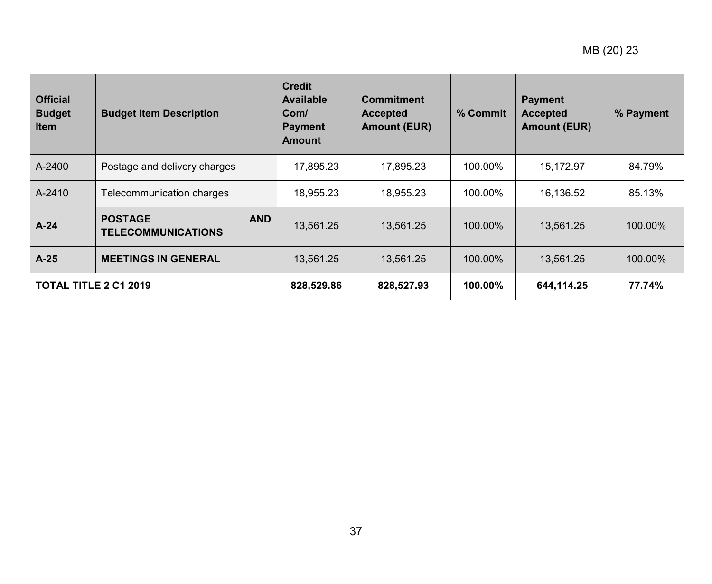| <b>Official</b><br><b>Budget</b><br><b>Item</b> | <b>Budget Item Description</b>                            | <b>Credit</b><br><b>Available</b><br>Com/<br><b>Payment</b><br><b>Amount</b> | <b>Commitment</b><br><b>Accepted</b><br><b>Amount (EUR)</b> | % Commit   | <b>Payment</b><br><b>Accepted</b><br><b>Amount (EUR)</b> | % Payment |
|-------------------------------------------------|-----------------------------------------------------------|------------------------------------------------------------------------------|-------------------------------------------------------------|------------|----------------------------------------------------------|-----------|
| A-2400                                          | Postage and delivery charges                              | 17,895.23                                                                    | 17,895.23                                                   | 100.00%    | 15,172.97                                                | 84.79%    |
| A-2410                                          | Telecommunication charges                                 | 18,955.23                                                                    | 18,955.23                                                   | 100.00%    | 16,136.52                                                | 85.13%    |
| $A-24$                                          | <b>POSTAGE</b><br><b>AND</b><br><b>TELECOMMUNICATIONS</b> | 13,561.25                                                                    | 13,561.25                                                   | 100.00%    | 13,561.25                                                | 100.00%   |
| $A-25$                                          | <b>MEETINGS IN GENERAL</b>                                | 13,561.25                                                                    | 13,561.25                                                   | 100.00%    | 13,561.25                                                | 100.00%   |
| <b>TOTAL TITLE 2 C1 2019</b>                    |                                                           | 828,529.86                                                                   | 828,527.93                                                  | $100.00\%$ | 644,114.25                                               | 77.74%    |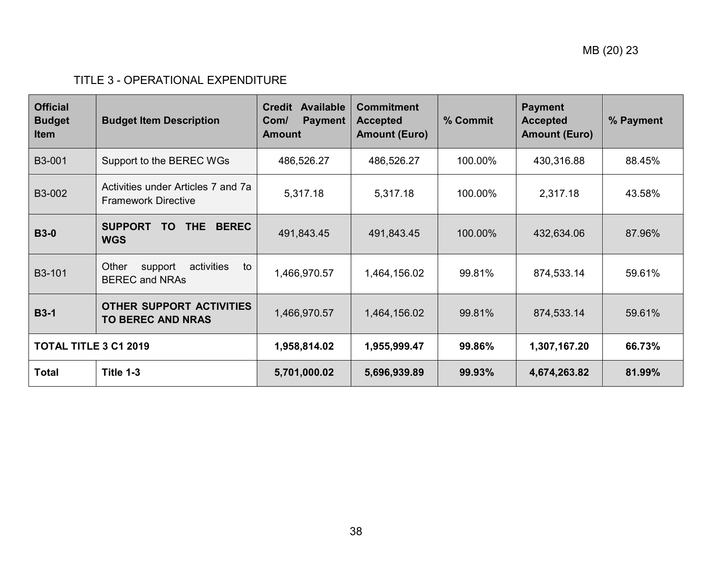# TITLE 3 - OPERATIONAL EXPENDITURE

| <b>Official</b><br><b>Budget</b><br><b>Item</b> | <b>Budget Item Description</b>                                   | Available<br><b>Credit</b><br><b>Payment</b><br>Com/<br><b>Amount</b> | <b>Commitment</b><br><b>Accepted</b><br><b>Amount (Euro)</b> | % Commit | <b>Payment</b><br><b>Accepted</b><br><b>Amount (Euro)</b> | % Payment |
|-------------------------------------------------|------------------------------------------------------------------|-----------------------------------------------------------------------|--------------------------------------------------------------|----------|-----------------------------------------------------------|-----------|
| B3-001                                          | Support to the BEREC WGs                                         | 486,526.27                                                            | 486,526.27                                                   | 100.00%  | 430,316.88                                                | 88.45%    |
| B3-002                                          | Activities under Articles 7 and 7a<br><b>Framework Directive</b> | 5,317.18                                                              | 5,317.18                                                     | 100.00%  | 2,317.18                                                  | 43.58%    |
| <b>B3-0</b>                                     | <b>SUPPORT</b><br>THE BEREC<br>TO.<br><b>WGS</b>                 | 491,843.45                                                            | 491,843.45                                                   | 100.00%  | 432,634.06                                                | 87.96%    |
| B3-101                                          | Other<br>support<br>activities<br>to<br><b>BEREC and NRAs</b>    | 1,466,970.57                                                          | 1,464,156.02                                                 | 99.81%   | 874,533.14                                                | 59.61%    |
| <b>B3-1</b>                                     | OTHER SUPPORT ACTIVITIES<br><b>TO BEREC AND NRAS</b>             | 1,466,970.57                                                          | 1,464,156.02                                                 | 99.81%   | 874,533.14                                                | 59.61%    |
|                                                 | <b>TOTAL TITLE 3 C1 2019</b>                                     |                                                                       | 1,955,999.47                                                 | 99.86%   | 1,307,167.20                                              | 66.73%    |
| <b>Total</b>                                    | Title 1-3                                                        | 5,701,000.02                                                          | 5,696,939.89                                                 | 99.93%   | 4,674,263.82                                              | 81.99%    |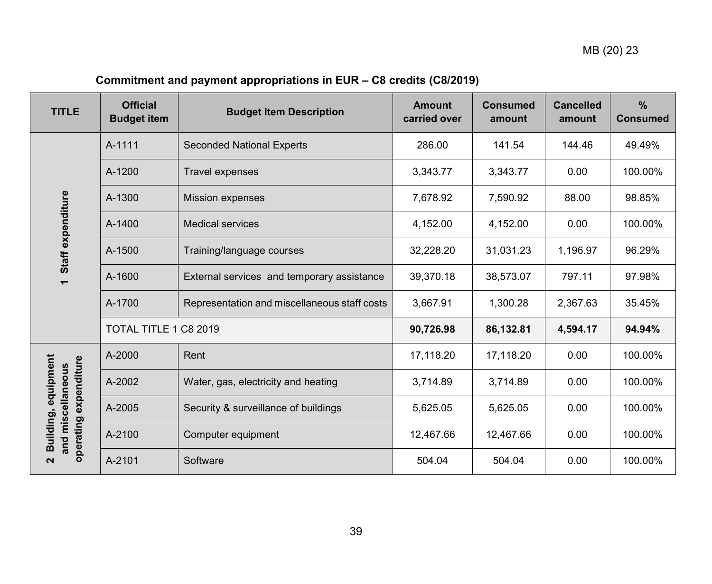# **Commitment and payment appropriations in EUR – C8 credits (C8/2019)**

<span id="page-38-0"></span>

| <b>TITLE</b>                                                      | <b>Official</b><br><b>Budget item</b> | <b>Budget Item Description</b>               | <b>Amount</b><br>carried over | <b>Consumed</b><br>amount | <b>Cancelled</b><br>amount | $\frac{9}{6}$<br><b>Consumed</b> |
|-------------------------------------------------------------------|---------------------------------------|----------------------------------------------|-------------------------------|---------------------------|----------------------------|----------------------------------|
|                                                                   | A-1111                                | <b>Seconded National Experts</b>             | 286.00                        | 141.54                    | 144.46                     | 49.49%                           |
|                                                                   | A-1200                                | <b>Travel expenses</b>                       | 3,343.77                      | 3,343.77                  | 0.00                       | 100.00%                          |
|                                                                   | A-1300                                | <b>Mission expenses</b>                      | 7,678.92                      | 7,590.92                  | 88.00                      | 98.85%                           |
|                                                                   | A-1400                                | <b>Medical services</b>                      | 4,152.00                      | 4,152.00                  | 0.00                       | 100.00%                          |
| Staff expenditure                                                 | A-1500                                | Training/language courses                    | 32,228.20                     | 31,031.23                 | 1,196.97                   | 96.29%                           |
|                                                                   | A-1600                                | External services and temporary assistance   | 39,370.18                     | 38,573.07                 | 797.11                     | 97.98%                           |
|                                                                   | A-1700                                | Representation and miscellaneous staff costs | 3,667.91                      | 1,300.28                  | 2,367.63                   | 35.45%                           |
|                                                                   | TOTAL TITLE 1 C8 2019                 |                                              | 90,726.98                     | 86,132.81                 | 4,594.17                   | 94.94%                           |
|                                                                   | A-2000                                | Rent                                         | 17,118.20                     | 17,118.20                 | 0.00                       | 100.00%                          |
|                                                                   | A-2002                                | Water, gas, electricity and heating          | 3,714.89                      | 3,714.89                  | 0.00                       | 100.00%                          |
| Building, equipment<br>operating expenditure<br>and miscellaneous | A-2005                                | Security & surveillance of buildings         | 5,625.05                      | 5,625.05                  | 0.00                       | 100.00%                          |
|                                                                   | A-2100                                | Computer equipment                           | 12,467.66                     | 12,467.66                 | 0.00                       | 100.00%                          |
| N                                                                 | A-2101                                | Software                                     | 504.04                        | 504.04                    | 0.00                       | 100.00%                          |